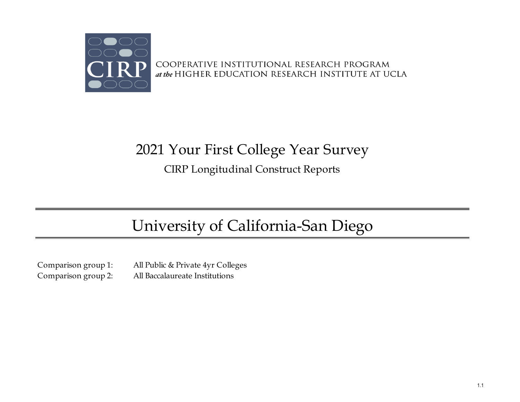

COOPERATIVE INSTITUTIONAL RESEARCH PROGRAM at the HIGHER EDUCATION RESEARCH INSTITUTE AT UCLA

## 2021 Your First College Year Survey

CIRP Longitudinal Construct Reports

# University of California-San Diego

Comparison group 1: All Public & Private 4yr Colleges Comparison group 2: All Baccalaureate Institutions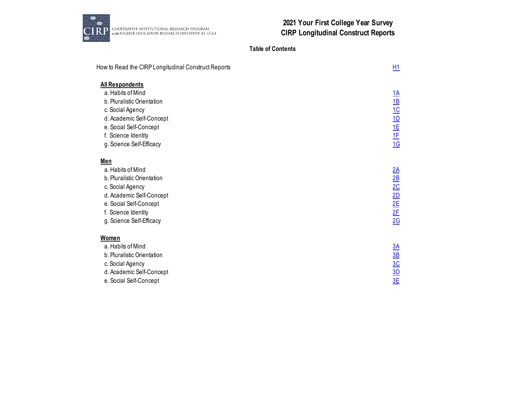

## **Table of Contents**

| How to Read the CIRP Longitudinal Construct Reports | <b>H1</b>                 |
|-----------------------------------------------------|---------------------------|
| All Respondents                                     |                           |
| a. Habits of Mind                                   | <u>1A</u>                 |
| b. Pluralistic Orientation                          | $\underline{1B}$          |
| c. Social Agency                                    | 1C                        |
| d. Academic Self-Concept                            | <u>1D</u>                 |
| e. Social Self-Concept                              | 1E                        |
| f. Science Identity                                 | 1E                        |
| g. Science Self-Efficacy                            | 16                        |
| Men                                                 |                           |
| a. Habits of Mind                                   | 2A                        |
| b. Pluralistic Orientation                          | $\underline{\mathsf{2B}}$ |
| c. Social Agency                                    | 2C                        |
| d. Academic Self-Concept                            | 2D                        |
| e. Social Self-Concept                              | 2E                        |
| f. Science Identity                                 | 2E                        |
| g. Science Self-Efficacy                            | 2G                        |
| Women                                               |                           |
| a. Habits of Mind                                   | 3A                        |
| b. Pluralistic Orientation                          | $\underline{\mathsf{3B}}$ |
| c. Social Agency                                    | 3C                        |
| d. Academic Self-Concept                            | 3D                        |
| e. Social Self-Concept                              | 3E                        |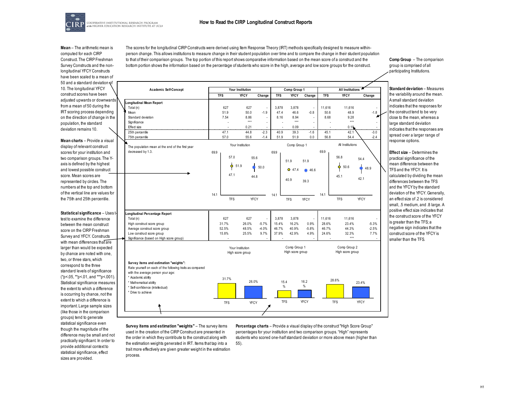The scores for the longitudinal CIRP Constructs were derived using Item Response Theory (IRT) methods specifically designed to measure withinperson change. This allows institutions to measure change in their student population over time and to compare the change in their student population to that of their comparison groups. The top portion of this report shows comparative information based on the mean score of a construct and the bottom portion shows the information based on the percentage of students who score in the high, average and low score groups for the construct.



**Mean** – The arithmetic mean is computed for each CIRP Construct. The CIRP Freshman Survey Constructs and the nonlongitudinal YFCY Constructs have been scaled to a mean of 50 and a standard deviation of 10. The longitudinal YFCY construct scores have been adjusted upwards or downwards from a mean of 50 during the IRT scoring process depending on the direction of change in the population, the standard deviation remains 10.

**Mean charts** – Provide a visual display of relevant construct scores for your institution and two comparison groups. The Yaxis is defined by the highest and lowest possible construct score. Mean scores are represented by circles. The numbers at the top and bottom of the vertical line are values for the 75th and 25th percentile.

**Statistical significance** – Uses ttest to examine the difference between the mean construct score on the CIRP Freshman Survey and YFCY. Constructs with mean differences that are larger than would be expected by chance are noted with one, two, or three stars, which correspond to the three standard levels of significance (\*p<.05, \*\*p<.01, and \*\*\*p<.001). Statistical significance measures the extent to which a difference is occurring by chance, not the extent to which a difference is important. Large sample sizes (like those in the comparison groups) tend to generate statistical significance even though the magnitude of the difference may be small and not practically significant. In order to provide additional context to statistical significance, effect sizes are provided.

| <b>Academic Self-Concept</b>                              |                    | Your Institution |                           |                          | Comp Group 1     |             | <b>All Institutions</b> |                  |             |  |  |
|-----------------------------------------------------------|--------------------|------------------|---------------------------|--------------------------|------------------|-------------|-------------------------|------------------|-------------|--|--|
|                                                           | <b>TFS</b>         | <b>YFCY</b>      | Change                    | <b>TFS</b>               | <b>YFCY</b>      | Change      | <b>TFS</b>              | <b>YFCY</b>      | Change      |  |  |
| Longitudinal Mean Report                                  |                    |                  |                           |                          |                  |             |                         |                  |             |  |  |
| Total (n)                                                 | 627                | 627              | $\overline{\phantom{a}}$  | 3.878                    | 3.878            | ÷           | 11.616                  | 11.616           |             |  |  |
| Mean                                                      | 51.9               | 50.0             | $-1.9$                    | 47.4                     | 46.6             | $-0.8$      | 50.6                    | 48.9             | $-1.8$      |  |  |
| Standard deviation                                        | 7.54               | 8.86             | ÷                         | 8.16                     | 8.94             |             | 8.68                    | 9.28             |             |  |  |
| Significance                                              | J.                 | $***$            |                           | $\overline{\phantom{a}}$ | $* * *$          | ÷,          |                         | $***$            |             |  |  |
| Effect size                                               |                    | 0.21             | لمحمد                     | ستستعد                   | 0.09             | محمد        |                         | 0.19             |             |  |  |
| 25th percentile                                           | 47.1               | 44.8             | $-2.3$                    | 40.9                     | 39.3             | $-1.6$      | 45.1                    | 42.1             | $-3.0$      |  |  |
| 75th percentile                                           | 57.0               | 55.6             | $-1.4$                    | 51.9                     | 51.9             | 0.0         | 56.8                    | 54.4             | $-2.4$      |  |  |
| The population mean at the end of the first year          |                    | Your Institution |                           |                          | Comp Group 1     |             |                         | All Institutions |             |  |  |
| decreased by 1.3.                                         | 69.9               |                  |                           | 699                      |                  |             | 69.9                    |                  |             |  |  |
|                                                           | 57.0               |                  |                           |                          |                  |             |                         | 56.8             |             |  |  |
|                                                           |                    |                  | 55.6                      |                          | 51.9             | 51.9        |                         |                  | 54.4        |  |  |
|                                                           |                    | 51.9             | 50.0                      |                          |                  |             |                         | 50.6             |             |  |  |
|                                                           |                    |                  |                           |                          | $O$ 47.4         | 46.6        |                         |                  | 48.9        |  |  |
|                                                           | 47.1               |                  | 44.8                      |                          |                  |             |                         | 45.1             |             |  |  |
|                                                           |                    |                  |                           |                          | 40.9             | 39.3        |                         |                  | 42.1        |  |  |
|                                                           |                    |                  |                           |                          |                  |             |                         |                  |             |  |  |
|                                                           |                    |                  |                           |                          |                  |             |                         |                  |             |  |  |
|                                                           | 14.1<br><b>TFS</b> |                  | YFCY                      | 14.1                     |                  |             | 14.1                    | <b>TFS</b>       | <b>YFCY</b> |  |  |
|                                                           |                    |                  |                           |                          | <b>TFS</b>       | <b>YFCY</b> |                         |                  |             |  |  |
|                                                           |                    |                  |                           |                          |                  |             |                         |                  |             |  |  |
| Longitudinal Percentage Report                            |                    |                  |                           |                          |                  |             |                         |                  |             |  |  |
| Total (n)<br>High construct score group                   | 627<br>31.7%       | 627<br>26.0%     | $\overline{a}$<br>$-5.7%$ | 3.878<br>15.4%           | 3.878<br>16.2%   | ÷<br>0.9%   | 11.616<br>28.6%         | 11.616<br>23.4%  | $-5.3%$     |  |  |
| Average construct score group                             | 52.5%              | 48.5%            | $-4.0%$                   | 46.7%                    | 40.9%            | $-5.8%$     | 46.7%                   | 44.3%            | $-2.5%$     |  |  |
| Low construct score group                                 | 15.8%              | 25.5%            | 9.7%                      | 37.9%                    | 42.9%            | 4.9%        | 24.6%                   | 32.3%            | 7.7%        |  |  |
| Significance (based on High score group)                  |                    |                  |                           |                          |                  |             |                         | $***$            |             |  |  |
|                                                           |                    |                  |                           |                          |                  |             |                         |                  |             |  |  |
|                                                           |                    | Your Institution |                           |                          | Comp Group 1     |             |                         | Comp Group 2     |             |  |  |
|                                                           |                    | High score group |                           |                          | High score group |             |                         | High score group |             |  |  |
|                                                           |                    |                  |                           |                          |                  |             |                         |                  |             |  |  |
| Survey items and estimation "weights":                    |                    |                  |                           |                          |                  |             |                         |                  |             |  |  |
| Rate yourself on each of the following traits as compared |                    |                  |                           |                          |                  |             |                         |                  |             |  |  |
| with the average person your age:                         |                    |                  |                           |                          |                  |             |                         |                  |             |  |  |
| * Academic ability                                        | 31.7%              | 26.0%            |                           |                          |                  | 16.2        |                         | 28.6%            |             |  |  |
| * Mathematical ability                                    |                    |                  |                           | 15.4<br>%                |                  | $\%$        |                         |                  | 23.4%       |  |  |
| * Self-confidence (intellectual)                          |                    |                  |                           |                          |                  |             |                         |                  |             |  |  |
| * Drive to achieve                                        |                    |                  |                           |                          |                  |             |                         |                  |             |  |  |
|                                                           |                    |                  |                           | <b>TFS</b>               |                  | YFCY        |                         |                  |             |  |  |
|                                                           | <b>TFS</b>         | <b>YFCY</b>      |                           |                          |                  |             |                         | <b>TFS</b>       | <b>YFCY</b> |  |  |

**Survey items and estimation "weights"** – The survey items used in the creation of the CIRP Construct are presented in the order in which they contribute to the construct along with the estimation weights generated in IRT. Items that tap into a trait more effectively are given greater weight in the estimation process.

**Percentage charts** – Provide a visual display of the construct "High Score Group" percentages for your institution and two comparison groups. "High" represents students who scored one-half standard deviation or more above mean (higher than 55).

**Comp Group** – The comparison group is comprised of all participating Institutions.

**Standard deviation** – Measures the variability around the mean. A small standard deviation indicates that the responses for the construct tend to be very close to the mean, whereas a large standard deviation indicates that the responses are spread over a larger range of response options.

**Effect size** – Determines the practical significance of the mean difference between the TFS and the YFCY. It is calculated by dividing the mean differences between the TFS and the YFCY by the standard deviation of the YFCY. Generally, an effect size of .2 is considered small, .5 medium, and .8 large. A positive effect size indicates that the construct score of the YFCY is greater than the TFS; a negative sign indicates that the construct score of the YFCY is smaller than the TFS.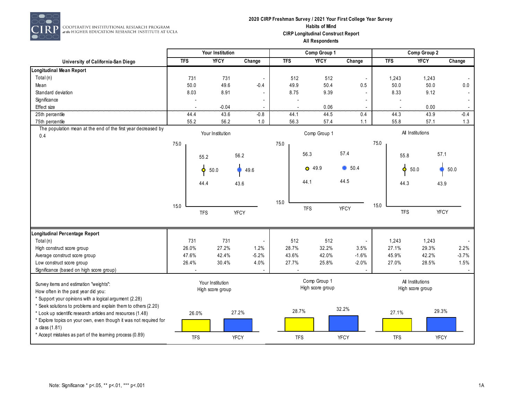

#### **2020 CIRP Freshman Survey / 2021 Your First College Year Survey Habits of Mind CIRP Longitudinal Construct Report All Respondents**

|                                                                                     |            | Your Institution |                          |            | Comp Group 1     |                |            | Comp Group 2     |             |
|-------------------------------------------------------------------------------------|------------|------------------|--------------------------|------------|------------------|----------------|------------|------------------|-------------|
| University of California-San Diego                                                  | <b>TFS</b> | <b>YFCY</b>      | Change                   | <b>TFS</b> | <b>YFCY</b>      | Change         | <b>TFS</b> | <b>YFCY</b>      | Change      |
| <b>Longitudinal Mean Report</b>                                                     |            |                  |                          |            |                  |                |            |                  |             |
| Total (n)                                                                           | 731        | 731              | $\overline{\phantom{a}}$ | 512        | 512              | $\blacksquare$ | 1,243      | 1,243            |             |
| Mean                                                                                | 50.0       | 49.6             | $-0.4$                   | 49.9       | 50.4             | 0.5            | 50.0       | 50.0             | 0.0         |
| Standard deviation                                                                  | 8.03       | 8.91             |                          | 8.75       | 9.39             |                | 8.33       | 9.12             |             |
| Significance                                                                        |            |                  |                          |            |                  |                |            |                  |             |
| Effect size                                                                         |            | $-0.04$          |                          |            | 0.06             |                | .          | 0.00             |             |
| 25th percentile                                                                     | 44.4       | 43.6             | $-0.8$                   | 44.1       | 44.5             | 0.4            | 44.3       | 43.9             | $-0.4$      |
| 75th percentile                                                                     | 55.2       | 56.2             | 1.0                      | 56.3       | 57.4             | 1.1            | 55.8       | 57.1             | 1.3         |
| The population mean at the end of the first year decreased by<br>0.4                |            | Your Institution |                          |            | Comp Group 1     |                |            | All Institutions |             |
|                                                                                     | 75.0       |                  |                          | 75.0       |                  |                | 75.0       |                  |             |
|                                                                                     |            | 55.2             | 56.2                     |            | 56.3             | 57.4           | 55.8       | 57.1             |             |
|                                                                                     |            | Ó<br>50.0        | 49.6                     |            | $O$ 49.9         | $\bullet$ 50.4 | ó          | 50.0             | 50.0        |
|                                                                                     |            | 44.4             | 43.6                     |            | 44.1             | 44.5           | 44.3       | 43.9             |             |
|                                                                                     |            |                  |                          |            |                  |                |            |                  |             |
|                                                                                     | 15.0       |                  |                          | 15.0       |                  |                | 15.0       |                  |             |
|                                                                                     |            | <b>TFS</b>       | <b>YFCY</b>              |            | <b>TFS</b>       | <b>YFCY</b>    | <b>TFS</b> |                  | <b>YFCY</b> |
| Longitudinal Percentage Report                                                      |            |                  |                          |            |                  |                |            |                  |             |
| Total $(n)$                                                                         | 731        | 731              | $\blacksquare$           | 512        | 512              |                | 1,243      | 1,243            |             |
| High construct score group                                                          | 26.0%      | 27.2%            | 1.2%                     | 28.7%      | 32.2%            | 3.5%           | 27.1%      | 29.3%            | 2.2%        |
| Average construct score group                                                       | 47.6%      | 42.4%            | $-5.2%$                  | 43.6%      | 42.0%            | $-1.6%$        | 45.9%      | 42.2%            | $-3.7%$     |
| Low construct score group                                                           | 26.4%      | 30.4%            | 4.0%                     | 27.7%      | 25.8%            | $-2.0%$        | 27.0%      | 28.5%            | 1.5%        |
| Significance (based on high score group)                                            |            |                  |                          |            |                  |                |            |                  |             |
| Survey items and estimation "weights":                                              |            | Your Institution |                          |            | Comp Group 1     |                |            | All Institutions |             |
| How often in the past year did you:                                                 |            | High score group |                          |            | High score group |                |            | High score group |             |
| * Support your opinions with a logical argument (2.28)                              |            |                  |                          |            |                  |                |            |                  |             |
| * Seek solutions to problems and explain them to others (2.20)                      |            |                  |                          |            |                  | 32.2%          |            |                  |             |
| * Look up scientific research articles and resources (1.48)                         | 26.0%      |                  | 27.2%                    | 28.7%      |                  |                | 27.1%      | 29.3%            |             |
| * Explore topics on your own, even though it was not required for<br>a class (1.81) |            |                  |                          |            |                  |                |            |                  |             |
| * Accept mistakes as part of the learning process (0.89)                            | <b>TFS</b> |                  | <b>YFCY</b>              | <b>TFS</b> |                  | <b>YFCY</b>    | <b>TFS</b> | <b>YFCY</b>      |             |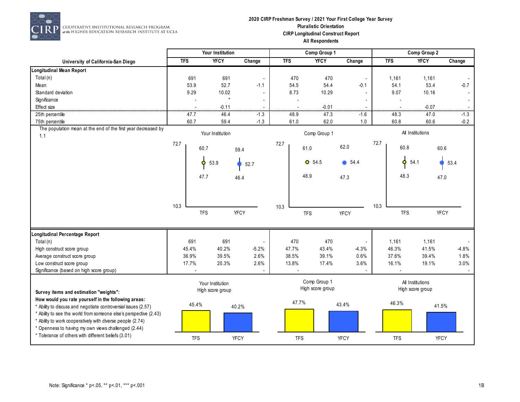

#### **2020 CIRP Freshman Survey / 2021 Your First College Year Survey Pluralistic Orientation CIRP Longitudinal Construct Report All Respondents**

|                                                                                                                       |            | Your Institution                     |                |            | Comp Group 1                     |                          |            | Comp Group 2                         |             |         |
|-----------------------------------------------------------------------------------------------------------------------|------------|--------------------------------------|----------------|------------|----------------------------------|--------------------------|------------|--------------------------------------|-------------|---------|
| University of California-San Diego                                                                                    | <b>TFS</b> | <b>YFCY</b>                          | Change         | <b>TFS</b> | <b>YFCY</b>                      | Change                   | <b>TFS</b> | <b>YFCY</b>                          |             | Change  |
| <b>Longitudinal Mean Report</b>                                                                                       |            |                                      |                |            |                                  |                          |            |                                      |             |         |
| Total (n)                                                                                                             | 691        | 691                                  | $\blacksquare$ | 470        | 470                              | $\overline{\phantom{a}}$ | 1,161      |                                      | 1,161       |         |
| Mean                                                                                                                  | 53.9       | 52.7                                 | $-1.1$         | 54.5       | 54.4                             | $-0.1$                   | 54.1       |                                      | 53.4        | $-0.7$  |
| Standard deviation                                                                                                    | 9.29       | 10.02                                | $\mathbf{r}$   | 8.73       | 10.29                            |                          | 9.07       |                                      | 10.16       |         |
| Significance                                                                                                          |            | $\star$                              |                |            |                                  |                          |            |                                      |             |         |
| Effect size                                                                                                           |            | $-0.11$                              | .              |            | $-0.01$                          |                          |            |                                      | $-0.07$     |         |
| 25th percentile                                                                                                       | 47.7       | 46.4                                 | $-1.3$         | 48.9       | 47.3                             | $-1.6$                   | 48.3       |                                      | 47.0        | $-1.3$  |
| 75th percentile                                                                                                       | 60.7       | 59.4                                 | $-1.3$         | 61.0       | 62.0                             | 1.0                      | 60.8       |                                      | 60.6        | $-0.2$  |
| The population mean at the end of the first year decreased by<br>1.1                                                  |            | Your Institution                     |                |            | Comp Group 1                     |                          |            | All Institutions                     |             |         |
|                                                                                                                       | 72.7       | 60.7                                 | 59.4           | 72.7       | 61.0                             | 62.0                     | 72.7       | 60.8                                 | 60.6        |         |
|                                                                                                                       |            | 53.9<br>۰                            | 52.7           |            | $O$ 54.5                         | $\bullet$ 54.4           |            | Ó<br>54.1                            | 53.4        |         |
|                                                                                                                       |            | 47.7                                 | 46.4           |            | 48.9                             | 47.3                     |            | 48.3                                 | 47.0        |         |
|                                                                                                                       |            |                                      |                |            |                                  |                          |            |                                      |             |         |
|                                                                                                                       | 10.3       |                                      |                | 10.3       |                                  |                          | 10.3       |                                      |             |         |
|                                                                                                                       |            | <b>TFS</b>                           | <b>YFCY</b>    |            | <b>TFS</b>                       | <b>YFCY</b>              |            | <b>TFS</b>                           | <b>YFCY</b> |         |
| Longitudinal Percentage Report                                                                                        |            |                                      |                |            |                                  |                          |            |                                      |             |         |
| Total (n)                                                                                                             | 691        | 691                                  | $\blacksquare$ | 470        | 470                              |                          | 1,161      |                                      | 1,161       |         |
| High construct score group                                                                                            | 45.4%      | 40.2%                                | $-5.2%$        | 47.7%      | 43.4%                            | $-4.3%$                  | 46.3%      |                                      | 41.5%       | $-4.8%$ |
| Average construct score group                                                                                         | 36.9%      | 39.5%                                | 2.6%           | 38.5%      | 39.1%                            | 0.6%                     | 37.6%      |                                      | 39.4%       | 1.8%    |
| Low construct score group                                                                                             | 17.7%      | 20.3%                                | 2.6%           | 13.8%      | 17.4%                            | 3.6%                     | 16.1%      |                                      | 19.1%       | 3.0%    |
| Significance (based on high score group)                                                                              |            |                                      |                |            |                                  |                          |            |                                      |             |         |
|                                                                                                                       |            | Your Institution<br>High score group |                |            | Comp Group 1<br>High score group |                          |            | All Institutions<br>High score group |             |         |
| Survey items and estimation "weights":                                                                                |            |                                      |                |            |                                  |                          |            |                                      |             |         |
| How would you rate yourself in the following areas:<br>* Ability to discuss and negotiate controversial issues (2.57) | 45.4%      |                                      | 40.2%          | 47.7%      |                                  | 43.4%                    | 46.3%      |                                      | 41.5%       |         |
| * Ability to see the world from someone else's perspective (2.43)                                                     |            |                                      |                |            |                                  |                          |            |                                      |             |         |
| * Ability to work cooperatively with diverse people (2.74)<br>* Openness to having my own views challenged (2.44)     |            |                                      |                |            |                                  |                          |            |                                      |             |         |
| * Tolerance of others with different beliefs (3.01)                                                                   | <b>TFS</b> |                                      | <b>YFCY</b>    | <b>TFS</b> |                                  | <b>YFCY</b>              | <b>TFS</b> |                                      | YFCY        |         |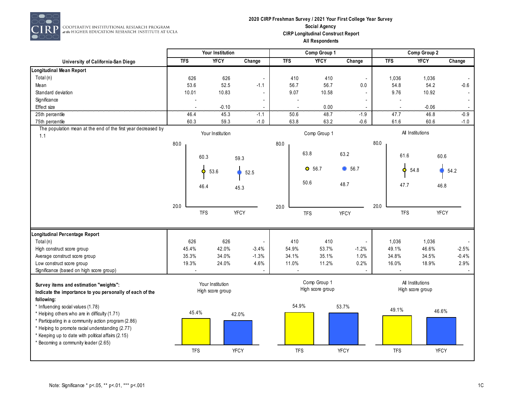

#### **2020 CIRP Freshman Survey / 2021 Your First College Year Survey Social Agency CIRP Longitudinal Construct Report All Respondents**

|                                                               | Your Institution |                  |                          |            | Comp Group 1             |                          | Comp Group 2 |                                      |             |  |
|---------------------------------------------------------------|------------------|------------------|--------------------------|------------|--------------------------|--------------------------|--------------|--------------------------------------|-------------|--|
| University of California-San Diego                            | <b>TFS</b>       | <b>YFCY</b>      | Change                   | <b>TFS</b> | <b>YFCY</b>              | Change                   | <b>TFS</b>   | <b>YFCY</b>                          | Change      |  |
| Longitudinal Mean Report                                      |                  |                  |                          |            |                          |                          |              |                                      |             |  |
| Total (n)                                                     | 626              | 626              | $\overline{\phantom{a}}$ | 410        | 410                      | $\overline{\phantom{a}}$ | 1,036        | 1,036                                |             |  |
| Mean                                                          | 53.6             | 52.5             | $-1.1$                   | 56.7       | 56.7                     | 0.0                      | 54.8         | 54.2                                 | $-0.6$      |  |
| Standard deviation                                            | 10.01            | 10.83            | $\blacksquare$           | 9.07       | 10.58                    |                          | 9.76         | 10.92                                |             |  |
| Significance                                                  |                  |                  | $\overline{a}$           |            | $\overline{\phantom{a}}$ |                          |              |                                      |             |  |
| <b>Effect</b> size                                            |                  | $-0.10$          |                          |            | 0.00                     |                          |              | $-0.06$                              |             |  |
| 25th percentile                                               | 46.4             | 45.3             | $-1.1$                   | 50.6       | 48.7                     | $-1.9$                   | 47.7         | 46.8                                 | $-0.9$      |  |
| 75th percentile                                               | 60.3             | 59.3             | $-1.0$                   | 63.8       | 63.2                     | $-0.6$                   | 61.6         | 60.6                                 | $-1.0$      |  |
| The population mean at the end of the first year decreased by |                  | Your Institution |                          |            | Comp Group 1             |                          |              | All Institutions                     |             |  |
| 1.1                                                           |                  |                  |                          |            |                          |                          |              |                                      |             |  |
|                                                               | 80.0             |                  |                          | 80.0       |                          |                          | 80.0         |                                      |             |  |
|                                                               |                  | 60.3             | 59.3                     |            | 63.8                     | 63.2                     | 61.6         | 60.6                                 |             |  |
|                                                               |                  | Ó<br>53.6        | 52.5                     |            | $O$ 56.7                 | 6.7                      | Ó            | 54.8                                 | 54.2        |  |
|                                                               |                  |                  |                          |            |                          |                          |              |                                      |             |  |
|                                                               |                  | 46.4             | 45.3                     |            | 50.6                     | 48.7                     | 47.7         | 46.8                                 |             |  |
|                                                               |                  |                  |                          |            |                          |                          |              |                                      |             |  |
|                                                               |                  |                  |                          |            |                          |                          |              |                                      |             |  |
|                                                               | 20.0             |                  |                          | 20.0       |                          |                          | 20.0         |                                      |             |  |
|                                                               |                  | <b>TFS</b>       | <b>YFCY</b>              |            | <b>TFS</b>               | <b>YFCY</b>              | <b>TFS</b>   |                                      | <b>YFCY</b> |  |
|                                                               |                  |                  |                          |            |                          |                          |              |                                      |             |  |
| Longitudinal Percentage Report                                |                  |                  |                          |            |                          |                          |              |                                      |             |  |
| Total (n)                                                     | 626              | 626              | $\overline{\phantom{a}}$ | 410        | 410                      |                          | 1,036        | 1,036                                |             |  |
| High construct score group                                    | 45.4%            | 42.0%            | $-3.4%$                  | 54.9%      | 53.7%                    | $-1.2%$                  | 49.1%        | 46.6%                                | $-2.5%$     |  |
| Average construct score group                                 | 35.3%            | 34.0%            | $-1.3%$                  | 34.1%      | 35.1%                    | 1.0%                     | 34.8%        | 34.5%                                | $-0.4%$     |  |
| Low construct score group                                     | 19.3%            | 24.0%            | 4.6%                     | 11.0%      | 11.2%                    | 0.2%                     | 16.0%        | 18.9%                                | 2.9%        |  |
| Significance (based on high score group)                      |                  |                  |                          |            |                          |                          |              |                                      |             |  |
|                                                               |                  |                  |                          |            | Comp Group 1             |                          |              |                                      |             |  |
| Survey items and estimation "weights":                        |                  | Your Institution |                          |            | High score group         |                          |              | All Institutions<br>High score group |             |  |
| Indicate the importance to you personally of each of the      |                  | High score group |                          |            |                          |                          |              |                                      |             |  |
| following:                                                    |                  |                  |                          |            |                          |                          |              |                                      |             |  |
| * Influencing social values (1.78)                            | 45.4%            |                  |                          |            | 54.9%                    | 53.7%                    | 49.1%        | 46.6%                                |             |  |
| * Helping others who are in difficulty (1.71)                 |                  |                  | 42.0%                    |            |                          |                          |              |                                      |             |  |
| * Participating in a community action program (2.86)          |                  |                  |                          |            |                          |                          |              |                                      |             |  |
| * Helping to promote racial understanding (2.77)              |                  |                  |                          |            |                          |                          |              |                                      |             |  |
| * Keeping up to date with political affairs (2.15)            |                  |                  |                          |            |                          |                          |              |                                      |             |  |
| * Becoming a community leader (2.65)                          |                  |                  |                          |            |                          |                          |              |                                      |             |  |
|                                                               | <b>TFS</b>       |                  | YFCY                     |            | <b>TFS</b>               | <b>YFCY</b>              | <b>TFS</b>   | <b>YFCY</b>                          |             |  |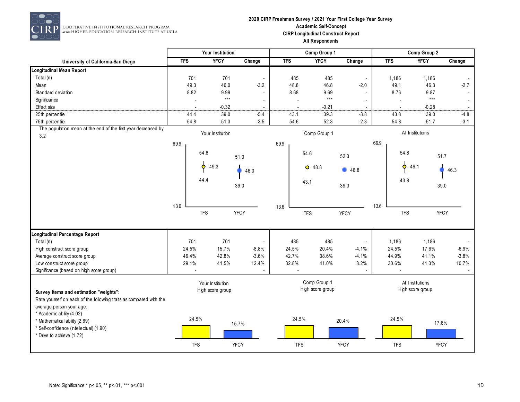

#### **2020 CIRP Freshman Survey / 2021 Your First College Year Survey Academic Self-Concept CIRP Longitudinal Construct Report All Respondents**

|                                                                      |            | <b>Your Institution</b> |                          |                | Comp Group 1                     |                          |                | Comp Group 2     |             |
|----------------------------------------------------------------------|------------|-------------------------|--------------------------|----------------|----------------------------------|--------------------------|----------------|------------------|-------------|
| University of California-San Diego                                   | <b>TFS</b> | <b>YFCY</b>             | Change                   | <b>TFS</b>     | <b>YFCY</b>                      | Change                   | <b>TFS</b>     | <b>YFCY</b>      | Change      |
| Longitudinal Mean Report                                             |            |                         |                          |                |                                  |                          |                |                  |             |
| Total (n)                                                            | 701        | 701                     | $\blacksquare$           | 485            | 485                              | $\overline{\phantom{a}}$ | 1,186          | 1,186            |             |
| Mean                                                                 | 49.3       | 46.0                    | $-3.2$                   | 48.8           | 46.8                             | $-2.0$                   | 49.1           | 46.3             | $-2.7$      |
| Standard deviation                                                   | 8.82       | 9.99                    | $\overline{a}$           | 8.68           | 9.69                             |                          | 8.76           | 9.87             |             |
| Significance                                                         |            | $\star\star\star$       |                          | $\overline{a}$ | $\star\star\star$                |                          | $\overline{a}$ | $***$            | $\sim$      |
| <b>Effect</b> size                                                   |            | $-0.32$                 |                          |                | $-0.21$                          |                          |                | $-0.28$          |             |
| 25th percentile                                                      | 44.4       | 39.0                    | $-5.4$                   | 43.1           | 39.3                             | $-3.8$                   | 43.8           | 39.0             | $-4.8$      |
| 75th percentile                                                      | 54.8       | 51.3                    | $-3.5$                   | 54.6           | 52.3                             | $-2.3$                   | 54.8           | 51.7             | $-3.1$      |
| The population mean at the end of the first year decreased by<br>3.2 |            | Your Institution        |                          |                | Comp Group 1                     |                          |                | All Institutions |             |
|                                                                      | 69.9       |                         |                          | 69.9           |                                  |                          | 69.9           |                  |             |
|                                                                      |            | 54.8                    | 51.3                     |                | 54.6                             | 52.3                     |                | 54.8             | 51.7        |
|                                                                      |            | 49.3<br>Ó               | 46.0                     |                | $O$ 48.8                         | 46.8                     |                | Ó<br>49.1        | 46.3        |
|                                                                      |            |                         |                          |                |                                  |                          |                |                  |             |
|                                                                      |            | 44.4                    | 39.0                     |                | 43.1                             | 39.3                     |                | 43.8             | 39.0        |
|                                                                      |            |                         |                          |                |                                  |                          |                |                  |             |
|                                                                      |            |                         |                          |                |                                  |                          |                |                  |             |
|                                                                      | 13.6       |                         |                          | 13.6           |                                  |                          | 13.6           |                  |             |
|                                                                      |            | <b>TFS</b>              | <b>YFCY</b>              |                | <b>TFS</b>                       | YFCY                     |                | <b>TFS</b>       | <b>YFCY</b> |
|                                                                      |            |                         |                          |                |                                  |                          |                |                  |             |
| Longitudinal Percentage Report                                       |            |                         |                          |                |                                  |                          |                |                  |             |
| Total (n)                                                            | 701        | 701                     | $\overline{\phantom{a}}$ | 485            | 485                              |                          | 1,186          | 1,186            |             |
| High construct score group                                           | 24.5%      | 15.7%                   | $-8.8%$                  | 24.5%          | 20.4%                            | $-4.1%$                  | 24.5%          | 17.6%            | $-6.9%$     |
| Average construct score group                                        | 46.4%      | 42.8%                   | $-3.6%$                  | 42.7%          | 38.6%                            | $-4.1%$                  | 44.9%          | 41.1%            | $-3.8%$     |
| Low construct score group                                            | 29.1%      | 41.5%                   | 12.4%                    | 32.8%          | 41.0%                            | 8.2%                     | 30.6%          | 41.3%            | 10.7%       |
| Significance (based on high score group)                             |            |                         |                          |                |                                  |                          |                |                  |             |
|                                                                      |            | Your Institution        |                          |                | Comp Group 1<br>High score group |                          |                | All Institutions |             |
| Survey items and estimation "weights":                               |            | High score group        |                          |                |                                  |                          |                | High score group |             |
| Rate yourself on each of the following traits as compared with the   |            |                         |                          |                |                                  |                          |                |                  |             |
| average person your age:                                             |            |                         |                          |                |                                  |                          |                |                  |             |
| * Academic ability (4.02)                                            | 24.5%      |                         |                          | 24.5%          |                                  |                          | 24.5%          |                  |             |
| * Mathematical ability (2.69)                                        |            |                         | 15.7%                    |                |                                  | 20.4%                    |                |                  | 17.6%       |
| * Self-confidence (intellectual) (1.90)                              |            |                         |                          |                |                                  |                          |                |                  |             |
| * Drive to achieve (1.72)                                            |            |                         |                          |                |                                  |                          |                |                  |             |
|                                                                      | <b>TFS</b> |                         | <b>YFCY</b>              | <b>TFS</b>     |                                  | <b>YFCY</b>              | <b>TFS</b>     |                  | <b>YFCY</b> |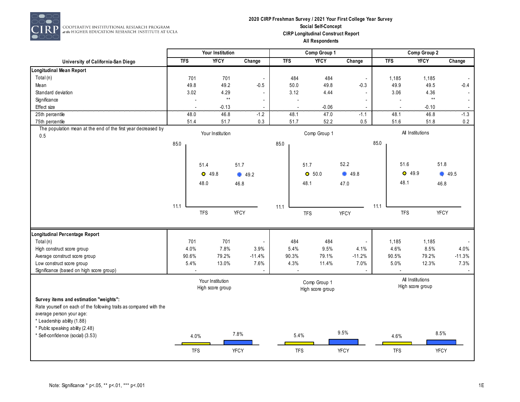

#### **2020 CIRP Freshman Survey / 2021 Your First College Year Survey Social Self-Concept CIRP Longitudinal Construct Report All Respondents**

|                                                                    |            | Your Institution                  |                          |                | Comp Group 1     |                          |            | Comp Group 2     |                                         |
|--------------------------------------------------------------------|------------|-----------------------------------|--------------------------|----------------|------------------|--------------------------|------------|------------------|-----------------------------------------|
| University of California-San Diego                                 | <b>TFS</b> | <b>YFCY</b>                       | Change                   | <b>TFS</b>     | <b>YFCY</b>      | Change                   | <b>TFS</b> | <b>YFCY</b>      | Change                                  |
| <b>Longitudinal Mean Report</b>                                    |            |                                   |                          |                |                  |                          |            |                  |                                         |
| Total (n)                                                          | 701        | 701                               | $\overline{\phantom{a}}$ | 484            | 484              | $\overline{\phantom{a}}$ | 1,185      |                  | 1,185                                   |
| Mean                                                               | 49.8       | 49.2                              | $-0.5$                   | 50.0           | 49.8             | $-0.3$                   |            | 49.9             | 49.5<br>$-0.4$                          |
| Standard deviation                                                 | 3.02       | 4.29                              | $\overline{\phantom{a}}$ | 3.12           | 4.44             |                          |            | 3.06             | 4.36<br>$\sim$                          |
| Significance                                                       |            | $^{\star\star}$<br>$\overline{a}$ | $\overline{\phantom{a}}$ | $\overline{a}$ |                  |                          |            | $\overline{a}$   | $\star\star$<br>$\sim$                  |
| <b>Effect</b> size                                                 |            | $-0.13$                           | $\overline{\phantom{a}}$ | $\overline{a}$ | $-0.06$          | $\overline{\phantom{a}}$ |            |                  | $-0.10$<br>$\overline{\phantom{a}}$<br> |
| 25th percentile                                                    | 48.0       | 46.8                              | $-1.2$                   | 48.1           | 47.0             | $-1.1$                   |            | 48.1             | 46.8<br>$-1.3$                          |
| 75th percentile                                                    | 51.4       | 51.7                              | 0.3                      | 51.7           | 52.2             | 0.5                      |            | 51.6             | 51.8<br>0.2                             |
| The population mean at the end of the first year decreased by      |            | Your Institution                  |                          |                | Comp Group 1     |                          |            | All Institutions |                                         |
| 0.5                                                                |            |                                   |                          |                |                  |                          |            |                  |                                         |
|                                                                    | 85.0       |                                   |                          | 85.0           |                  |                          | 85.0       |                  |                                         |
|                                                                    |            |                                   |                          |                |                  |                          |            |                  |                                         |
|                                                                    |            | 51.4                              | 51.7                     |                | 51.7             | 52.2                     |            | 51.6             | 51.8                                    |
|                                                                    |            | $O$ 49.8                          | 49.2                     |                | O 50.0           | 49.8                     |            | $O$ 49.9         | ۰<br>49.5                               |
|                                                                    |            |                                   |                          |                |                  |                          |            | 48.1             |                                         |
|                                                                    |            | 48.0                              | 46.8                     |                | 48.1             | 47.0                     |            |                  | 46.8                                    |
|                                                                    |            |                                   |                          |                |                  |                          |            |                  |                                         |
|                                                                    | 11.1       |                                   |                          |                |                  |                          | 11.1       |                  |                                         |
|                                                                    |            | <b>TFS</b>                        | <b>YFCY</b>              | 11.1           | <b>TFS</b>       | <b>YFCY</b>              |            | <b>TFS</b>       | <b>YFCY</b>                             |
|                                                                    |            |                                   |                          |                |                  |                          |            |                  |                                         |
|                                                                    |            |                                   |                          |                |                  |                          |            |                  |                                         |
| Longitudinal Percentage Report                                     |            |                                   |                          |                |                  |                          |            |                  |                                         |
| Total (n)                                                          | 701        | 701                               | $\blacksquare$           | 484            | 484              |                          | 1,185      |                  | 1,185                                   |
| High construct score group                                         | 4.0%       | 7.8%                              | 3.9%                     | 5.4%           | 9.5%             | 4.1%                     |            | 4.6%             | 8.5%<br>4.0%                            |
| Average construct score group                                      | 90.6%      | 79.2%                             | $-11.4%$                 | 90.3%          | 79.1%            | $-11.2%$                 | 90.5%      |                  | 79.2%<br>$-11.3%$                       |
| Low construct score group                                          | 5.4%       | 13.0%                             | 7.6%                     | 4.3%           | 11.4%            | 7.0%                     |            | 5.0%             | 12.3%<br>7.3%                           |
| Significance (based on high score group)                           |            |                                   | $\overline{\phantom{a}}$ |                |                  |                          |            |                  |                                         |
|                                                                    |            | Your Institution                  |                          |                | Comp Group 1     |                          |            | All Institutions |                                         |
|                                                                    |            | High score group                  |                          |                | High score group |                          |            | High score group |                                         |
| Survey items and estimation "weights":                             |            |                                   |                          |                |                  |                          |            |                  |                                         |
| Rate yourself on each of the following traits as compared with the |            |                                   |                          |                |                  |                          |            |                  |                                         |
| average person your age:                                           |            |                                   |                          |                |                  |                          |            |                  |                                         |
| * Leadership ability (1.88)                                        |            |                                   |                          |                |                  |                          |            |                  |                                         |
| * Public speaking ability (2.48)                                   |            |                                   |                          |                |                  |                          |            |                  |                                         |
| * Self-confidence (social) (3.53)                                  |            | 4.0%                              | 7.8%                     | 5.4%           |                  | 9.5%                     |            | 4.6%             | 8.5%                                    |
|                                                                    |            |                                   |                          |                |                  |                          |            |                  |                                         |
|                                                                    |            | <b>TFS</b>                        | <b>YFCY</b>              | <b>TFS</b>     |                  | <b>YFCY</b>              |            | <b>TFS</b>       | YFCY                                    |
|                                                                    |            |                                   |                          |                |                  |                          |            |                  |                                         |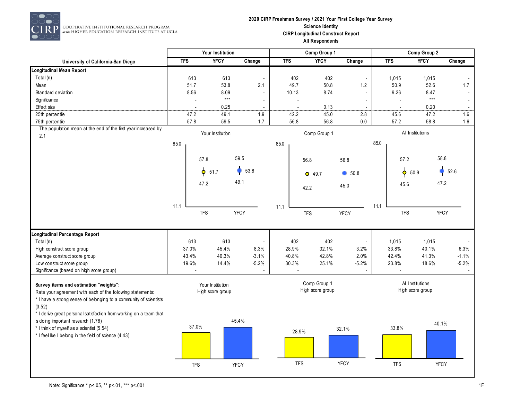

 $\overline{P}$  cooperative institutional research program<br> $\overline{P}$  at the Higher education research institute at ucla

#### **2020 CIRP Freshman Survey / 2021 Your First College Year Survey Science Identity CIRP Longitudinal Construct Report All Respondents**

|                                                                       | Your Institution |                |                  |                          | Comp Group 1 |                |                  |                          | Comp Group 2 |                |                   |                |
|-----------------------------------------------------------------------|------------------|----------------|------------------|--------------------------|--------------|----------------|------------------|--------------------------|--------------|----------------|-------------------|----------------|
| University of California-San Diego                                    | <b>TFS</b>       |                | <b>YFCY</b>      | Change                   | <b>TFS</b>   |                | <b>YFCY</b>      | Change                   |              | <b>TFS</b>     | <b>YFCY</b>       | Change         |
| <b>Longitudinal Mean Report</b>                                       |                  |                |                  |                          |              |                |                  |                          |              |                |                   |                |
| Total (n)                                                             |                  | 613            | 613              | $\overline{\phantom{a}}$ | 402          |                | 402              |                          |              | 1,015          | 1,015             | $\sim$         |
| Mean                                                                  |                  | 51.7           | 53.8             | 2.1                      | 49.7         |                | 50.8             | 1.2                      |              | 50.9           | 52.6              | 1.7            |
| Standard deviation                                                    | 8.56             |                | 8.09             | $\blacksquare$           | 10.13        |                | 8.74             | $\overline{a}$           |              | 9.26           | 8.47              | $\blacksquare$ |
| Significance                                                          |                  |                | $***$            | $\overline{a}$           |              | $\overline{a}$ |                  |                          |              | $\overline{a}$ | $\star\star\star$ | $\sim$         |
| Effect size                                                           |                  |                | 0.25             |                          |              |                | 0.13             |                          |              |                | 0.20              |                |
| 25th percentile                                                       |                  | 47.2           | 49.1             | 1.9                      | 42.2         |                | 45.0             | 2.8                      |              | 45.6           | 47.2              | 1.6            |
| 75th percentile                                                       | 57.8             |                | 59.5             | 1.7                      | 56.8         |                | 56.8             | 0.0                      |              | 57.2           | 58.8              | 1.6            |
| The population mean at the end of the first year increased by<br>2.1  |                  |                | Your Institution |                          |              |                | Comp Group 1     |                          |              |                | All Institutions  |                |
|                                                                       | 85.0             |                |                  |                          | 85.0         |                |                  |                          | 85.0         |                |                   |                |
|                                                                       |                  | 57.8           |                  | 59.5                     |              | 56.8           |                  | 56.8                     |              | 57.2           | 58.8              |                |
|                                                                       |                  | $\phi$<br>51.7 |                  | 53.8                     |              |                |                  |                          |              | $\phi$ 50.9    |                   | 52.6           |
|                                                                       |                  |                |                  |                          |              | $O$ 49.7       |                  | 50.8                     |              |                |                   |                |
|                                                                       |                  | 47.2           |                  | 49.1                     |              | 42.2           |                  | 45.0                     |              | 45.6           | 47.2              |                |
|                                                                       |                  |                |                  |                          |              |                |                  |                          |              |                |                   |                |
|                                                                       | 11.1             | <b>TFS</b>     |                  | <b>YFCY</b>              | 11.1         | <b>TFS</b>     |                  | <b>YFCY</b>              | 11.1         | <b>TFS</b>     | YFCY              |                |
|                                                                       |                  |                |                  |                          |              |                |                  |                          |              |                |                   |                |
| Longitudinal Percentage Report                                        |                  |                |                  |                          |              |                |                  |                          |              |                |                   |                |
| Total (n)                                                             |                  | 613            | 613              | $\overline{\phantom{a}}$ | 402          |                | 402              | $\overline{\phantom{a}}$ |              | 1,015          | 1,015             |                |
| High construct score group                                            | 37.0%            |                | 45.4%            | 8.3%                     | 28.9%        |                | 32.1%            | 3.2%                     |              | 33.8%          | 40.1%             | 6.3%           |
| Average construct score group                                         | 43.4%            |                | 40.3%            | $-3.1%$                  | 40.8%        |                | 42.8%            | 2.0%                     |              | 42.4%          | 41.3%             | $-1.1%$        |
| Low construct score group<br>Significance (based on high score group) | 19.6%            |                | 14.4%            | $-5.2%$                  | 30.3%        |                | 25.1%            | $-5.2%$                  |              | 23.8%          | 18.6%             | $-5.2%$        |
| Survey items and estimation "weights":                                |                  |                | Your Institution |                          |              |                | Comp Group 1     |                          |              |                | All Institutions  |                |
| Rate your agreement with each of the following statements:            |                  |                | High score group |                          |              |                | High score group |                          |              |                | High score group  |                |
| * I have a strong sense of belonging to a community of scientists     |                  |                |                  |                          |              |                |                  |                          |              |                |                   |                |
| (3.52)                                                                |                  |                |                  |                          |              |                |                  |                          |              |                |                   |                |
| * I derive great personal satisfaction from working on a team that    |                  |                |                  |                          |              |                |                  |                          |              |                |                   |                |
| is doing important research (1.78)                                    |                  | 37.0%          |                  | 45.4%                    |              |                |                  |                          |              |                | 40.1%             |                |
| * I think of myself as a scientist (5.54)                             |                  |                |                  |                          |              | 28.9%          |                  | 32.1%                    |              | 33.8%          |                   |                |
| * I feel like I belong in the field of science (4.43)                 |                  |                |                  |                          |              |                |                  |                          |              |                |                   |                |
|                                                                       |                  |                |                  |                          |              |                |                  |                          |              |                |                   |                |
|                                                                       |                  |                |                  |                          |              |                |                  |                          |              |                |                   |                |
|                                                                       |                  | <b>TFS</b>     |                  | <b>YFCY</b>              |              | <b>TFS</b>     |                  | <b>YFCY</b>              |              | <b>TFS</b>     | <b>YFCY</b>       |                |
|                                                                       |                  |                |                  |                          |              |                |                  |                          |              |                |                   |                |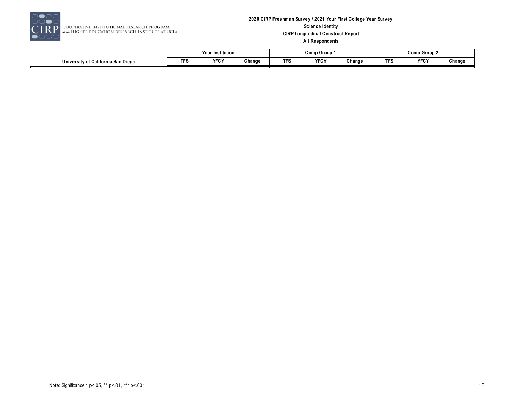

#### **2020 CIRP Freshman Survey / 2021 Your First College Year Survey Science Identity CIRP Longitudinal Construct Report All Respondents**

|                                            |    | $\cdot$<br>.<br>Your Institution |        |     | Comp Group         |        | Comp Group 2 |                    |        |  |
|--------------------------------------------|----|----------------------------------|--------|-----|--------------------|--------|--------------|--------------------|--------|--|
| . California San Diego<br>Universit<br>ำ∩† | -- | <b>VECV</b><br>けい                | Change | --- | <b>VEOV</b><br>TFU | Change |              | <b>VEOV</b><br>ורש | Change |  |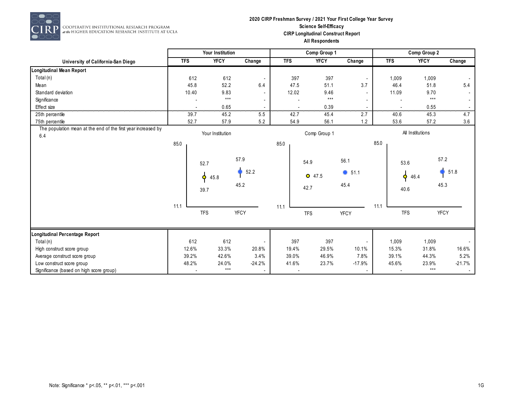

RP COOPERATIVE INSTITUTIONAL RESEARCH PROGRAM<br>at the HIGHER EDUCATION RESEARCH INSTITUTE AT UCLA

#### **2020 CIRP Freshman Survey / 2021 Your First College Year Survey Science Self-Efficacy CIRP Longitudinal Construct Report All Respondents**

|                                                                      |            | Your Institution                  |                      |                          | Comp Group 1             |                                |            | Comp Group 2                   |                      |
|----------------------------------------------------------------------|------------|-----------------------------------|----------------------|--------------------------|--------------------------|--------------------------------|------------|--------------------------------|----------------------|
| University of California-San Diego                                   | <b>TFS</b> | <b>YFCY</b>                       | Change               | <b>TFS</b>               | <b>YFCY</b>              | Change                         | <b>TFS</b> | <b>YFCY</b>                    | Change               |
| Longitudinal Mean Report                                             |            |                                   |                      |                          |                          |                                |            |                                |                      |
| Total (n)                                                            | 612        | 612                               |                      | 397                      | 397                      |                                | 1,009      | 1,009                          |                      |
| Mean                                                                 | 45.8       | 52.2                              | 6.4                  | 47.5                     | 51.1                     | 3.7                            | 46.4       | 51.8                           | 5.4                  |
| Standard deviation                                                   | 10.40      | 9.83                              |                      | 12.02                    | 9.46                     |                                | 11.09      | 9.70                           |                      |
| Significance                                                         |            | $***$                             |                      |                          | $***$                    |                                |            | $***$                          | $\sim$               |
| Effect size                                                          |            | 0.65                              | .                    |                          | 0.39                     |                                |            | 0.55                           |                      |
| 25th percentile                                                      | 39.7       | 45.2                              | 5.5                  | 42.7                     | 45.4                     | 2.7                            | 40.6       | 45.3                           | 4.7                  |
| 75th percentile                                                      | 52.7       | 57.9                              | 5.2                  | 54.9                     | 56.1                     | 1.2                            | 53.6       | 57.2                           | 3.6                  |
| The population mean at the end of the first year increased by<br>6.4 |            | Your Institution                  |                      |                          | Comp Group 1             |                                |            | All Institutions               |                      |
|                                                                      | 85.0       |                                   |                      | 85.0                     |                          |                                | 85.0       |                                |                      |
|                                                                      |            | 52.7<br>$\bullet$<br>45.8<br>39.7 | 57.9<br>52.2<br>45.2 |                          | 54.9<br>$O$ 47.5<br>42.7 | 56.1<br>$\bullet$ 51.1<br>45.4 |            | 53.6<br>$\bullet$ 46.4<br>40.6 | 57.2<br>51.8<br>45.3 |
|                                                                      | 11.1       | <b>TFS</b>                        | YFCY                 | 11.1                     | <b>TFS</b>               | <b>YFCY</b>                    | 11.1       | <b>TFS</b>                     | <b>YFCY</b>          |
| Longitudinal Percentage Report                                       |            |                                   |                      |                          |                          |                                |            |                                |                      |
| Total (n)                                                            | 612        | 612                               |                      | 397                      | 397                      |                                | 1,009      | 1,009                          |                      |
| High construct score group                                           | 12.6%      | 33.3%                             | 20.8%                | 19.4%                    | 29.5%                    | 10.1%                          | 15.3%      | 31.8%                          | 16.6%                |
| Average construct score group                                        | 39.2%      | 42.6%                             | 3.4%                 | 39.0%                    | 46.9%                    | 7.8%                           | 39.1%      | 44.3%                          | 5.2%                 |
| Low construct score group                                            | 48.2%      | 24.0%                             | $-24.2%$             | 41.6%                    | 23.7%                    | $-17.9%$                       | 45.6%      | 23.9%                          | $-21.7%$             |
| Significance (based on high score group)                             |            | $***$                             |                      | $\overline{\phantom{a}}$ |                          |                                |            | $***$                          | $\sim$               |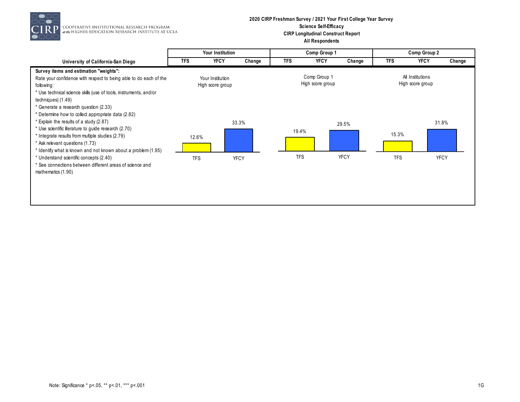

RP COOPERATIVE INSTITUTIONAL RESEARCH PROGRAM<br>at the HIGHER EDUCATION RESEARCH INSTITUTE AT UCLA

#### **2020 CIRP Freshman Survey / 2021 Your First College Year Survey Science Self-Efficacy CIRP Longitudinal Construct Report All Respondents**

|                                                                                                                                                                                                                                                                                                               | Your Institution |                                      |             |            | Comp Group 1                     |             |            | Comp Group 2                         |             |
|---------------------------------------------------------------------------------------------------------------------------------------------------------------------------------------------------------------------------------------------------------------------------------------------------------------|------------------|--------------------------------------|-------------|------------|----------------------------------|-------------|------------|--------------------------------------|-------------|
| University of California-San Diego                                                                                                                                                                                                                                                                            | <b>TFS</b>       | <b>YFCY</b>                          | Change      | <b>TFS</b> | <b>YFCY</b>                      | Change      | <b>TFS</b> | <b>YFCY</b>                          | Change      |
| Survey items and estimation "weights":<br>Rate your confidence with respect to being able to do each of the<br>following:<br>* Use technical science skills (use of tools, instruments, and/or<br>techniques) (1.49)<br>* Generate a research question (2.33)                                                 |                  | Your Institution<br>High score group |             |            | Comp Group 1<br>High score group |             |            | All Institutions<br>High score group |             |
| * Determine how to collect appropriate data (2.82)<br>* Explain the results of a study (2.87)<br>* Use scientific literature to guide research (2.70)<br>* Integrate results from multiple studies (2.79)<br>* Ask relevant questions (1.73)<br>* Identify what is known and not known about a problem (1.95) | 12.6%            |                                      | 33.3%       | 19.4%      |                                  | 29.5%       | 15.3%      |                                      | 31.8%       |
| * Understand scientific concepts (2.40)<br>* See connections between different areas of science and<br>mathematics (1.90)                                                                                                                                                                                     | <b>TFS</b>       |                                      | <b>YFCY</b> | <b>TFS</b> |                                  | <b>YFCY</b> | <b>TFS</b> |                                      | <b>YFCY</b> |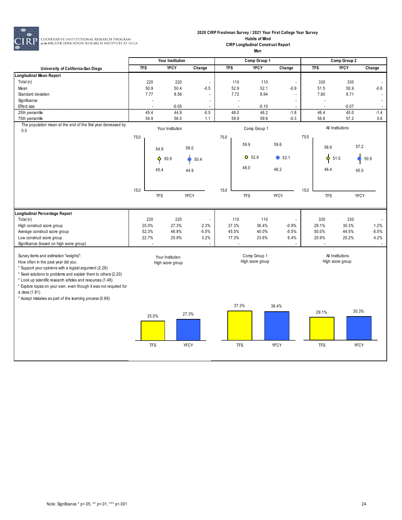

**2020 CIRP Freshman Survey / 2021 Your First College Year Survey Habits of Mind**

> **CIRP Longitudinal Construct Report Men**

|                                                                            | Your Institution |                          |                  | Comp Group 1             |            |                          |                  | Comp Group 2   |      |                    |                  |                                    |
|----------------------------------------------------------------------------|------------------|--------------------------|------------------|--------------------------|------------|--------------------------|------------------|----------------|------|--------------------|------------------|------------------------------------|
| University of California-San Diego                                         | <b>TFS</b>       |                          | <b>YFCY</b>      | Change                   | <b>TFS</b> |                          | <b>YFCY</b>      | Change         |      | <b>TFS</b>         | <b>YFCY</b>      | Change                             |
| <b>Longitudinal Mean Report</b>                                            |                  |                          |                  |                          |            |                          |                  |                |      |                    |                  |                                    |
| Total (n)                                                                  |                  | 220                      | 220              | $\overline{\phantom{a}}$ |            | 110                      | 110              | $\overline{a}$ |      | 330                | 330              | $\mathcal{L}_{\mathcal{A}}$        |
| Mean                                                                       |                  | 50.9                     | 50.4             | $-0.5$                   |            | 52.9                     | 52.1             | $-0.9$         |      | 51.5               | 50.9             | $-0.6$                             |
| Standard deviation                                                         |                  | 7.77                     | 8.56             | $\overline{a}$           |            | 7.72                     | 8.94             |                |      | 7.80               | 8.71             | $\overline{\phantom{a}}$           |
| Significance                                                               |                  | $\overline{\phantom{a}}$ |                  | $\overline{\phantom{a}}$ |            | $\overline{\phantom{a}}$ |                  |                |      |                    |                  | $\overline{\phantom{a}}$           |
| Effect size<br>25th percentile                                             |                  | 45.4                     | $-0.05$<br>44.9  | $\overline{a}$<br>$-0.5$ |            | 48.0                     | $-0.10$<br>46.2  | $-1.8$         |      | 46.4               | $-0.07$<br>45.0  | $\overline{\phantom{a}}$<br>$-1.4$ |
| 75th percentile                                                            |                  | 54.9                     | 56.0             | 1.1                      |            | 59.9                     | 59.6             | $-0.3$         |      | 56.6               | 57.2             | 0.6                                |
| The population mean at the end of the first year decreased by              |                  |                          |                  |                          |            |                          |                  |                |      |                    |                  |                                    |
| 0.5                                                                        |                  |                          | Your Institution |                          |            |                          | Comp Group 1     |                |      |                    | All Institutions |                                    |
|                                                                            | 75.0             |                          |                  |                          | 75.0       |                          |                  |                | 75.0 |                    |                  |                                    |
|                                                                            |                  |                          |                  | 56.0                     |            |                          | 59.9             | 59.6           |      | 56.6               | 57.2             |                                    |
|                                                                            |                  | 54.9                     |                  |                          |            |                          |                  |                |      |                    |                  |                                    |
|                                                                            |                  | ¢.                       | 50.9             | 50.4                     |            |                          | $O$ 52.9         | 652.1          |      | $\mathbf{\dot{q}}$ | 51.5             | 50.9                               |
|                                                                            |                  |                          |                  |                          |            |                          | 48.0             | 46.2           |      | 46.4               |                  |                                    |
|                                                                            |                  | 45.4                     |                  | 44.9                     |            |                          |                  |                |      |                    | 45.0             |                                    |
|                                                                            |                  |                          |                  |                          |            |                          |                  |                |      |                    |                  |                                    |
|                                                                            | 15.0             |                          |                  |                          | 15.0       |                          |                  |                | 15.0 |                    |                  |                                    |
|                                                                            |                  | <b>TFS</b>               |                  | <b>YFCY</b>              |            |                          | <b>TFS</b>       | <b>YFCY</b>    |      | <b>TFS</b>         | <b>YFCY</b>      |                                    |
|                                                                            |                  |                          |                  |                          |            |                          |                  |                |      |                    |                  |                                    |
| Longitudinal Percentage Report                                             |                  |                          |                  |                          |            |                          |                  |                |      |                    |                  |                                    |
| Total (n)                                                                  |                  | 220                      | 220              |                          |            | 110                      | 110              |                |      | 330                | 330              |                                    |
| High construct score group                                                 | 25.0%            |                          | 27.3%            | 2.3%                     |            | 37.3%                    | 36.4%            | $-0.9%$        |      | 29.1%              | 30.3%            | 1.2%                               |
| Average construct score group                                              | 52.3%            |                          | 46.8%            | $-5.5%$                  |            | 45.5%                    | 40.0%            | $-5.5%$        |      | 50.0%              | 44.5%            | $-5.5%$                            |
| Low construct score group                                                  | 22.7%            |                          | 25.9%            | 3.2%                     |            | 17.3%                    | 23.6%            | 6.4%           |      | 20.9%              | 25.2%            | 4.2%                               |
| Significance (based on high score group)                                   |                  |                          |                  |                          |            |                          |                  |                |      |                    |                  |                                    |
| Survey items and estimation "weights":                                     |                  |                          | Your Institution |                          |            |                          | Comp Group 1     |                |      |                    | All Institutions |                                    |
| How often in the past year did you:                                        |                  |                          | High score group |                          |            |                          | High score group |                |      |                    | High score group |                                    |
| * Support your opinions with a logical argument (2.28)                     |                  |                          |                  |                          |            |                          |                  |                |      |                    |                  |                                    |
| * Seek solutions to problems and explain them to others (2.20)             |                  |                          |                  |                          |            |                          |                  |                |      |                    |                  |                                    |
| * Look up scientific research articles and resources (1.48)                |                  |                          |                  |                          |            |                          |                  |                |      |                    |                  |                                    |
| * Explore topics on your own, even though it was not required for          |                  |                          |                  |                          |            |                          |                  |                |      |                    |                  |                                    |
| a class (1.81)<br>* Accept mistakes as part of the learning process (0.89) |                  |                          |                  |                          |            |                          |                  |                |      |                    |                  |                                    |
|                                                                            |                  |                          |                  |                          |            | 37.3%                    |                  | 36.4%          |      |                    |                  |                                    |
|                                                                            |                  |                          |                  |                          |            |                          |                  |                |      | 29.1%              | 30.3%            |                                    |
|                                                                            |                  | 25.0%                    |                  | 27.3%                    |            |                          |                  |                |      |                    |                  |                                    |
|                                                                            |                  |                          |                  |                          |            |                          |                  |                |      |                    |                  |                                    |
|                                                                            |                  |                          |                  |                          |            |                          |                  |                |      |                    |                  |                                    |
|                                                                            |                  |                          |                  |                          |            |                          |                  |                |      |                    |                  |                                    |
|                                                                            |                  | <b>TFS</b>               |                  | YFCY                     |            | <b>TFS</b>               |                  | <b>YFCY</b>    |      | <b>TFS</b>         | <b>YFCY</b>      |                                    |
|                                                                            |                  |                          |                  |                          |            |                          |                  |                |      |                    |                  |                                    |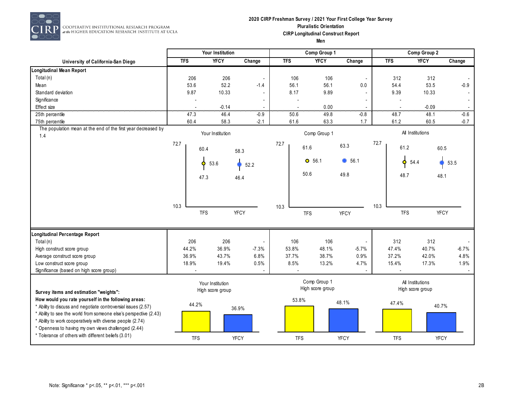

RP COOPERATIVE INSTITUTIONAL RESEARCH PROGRAM<br>at the HIGHER EDUCATION RESEARCH INSTITUTE AT UCLA

## **2020 CIRP Freshman Survey / 2021 Your First College Year Survey Pluralistic Orientation CIRP Longitudinal Construct Report**

|                                                                                                                                                                                        |            | Your Institution                     |                          |            | Comp Group 1                     |                          | Comp Group 2 |                                      |             |         |
|----------------------------------------------------------------------------------------------------------------------------------------------------------------------------------------|------------|--------------------------------------|--------------------------|------------|----------------------------------|--------------------------|--------------|--------------------------------------|-------------|---------|
| University of California-San Diego                                                                                                                                                     | <b>TFS</b> | <b>YFCY</b>                          | Change                   | <b>TFS</b> | <b>YFCY</b>                      | Change                   | <b>TFS</b>   |                                      | <b>YFCY</b> | Change  |
| Longitudinal Mean Report                                                                                                                                                               |            |                                      |                          |            |                                  |                          |              |                                      |             |         |
| Total (n)                                                                                                                                                                              | 206        | 206                                  |                          | 106        | 106                              | $\overline{\phantom{a}}$ |              | 312                                  | 312         |         |
| Mean                                                                                                                                                                                   | 53.6       | 52.2                                 | $-1.4$                   | 56.1       | 56.1                             | 0.0                      |              | 54.4                                 | 53.5        | $-0.9$  |
| Standard deviation                                                                                                                                                                     | 9.87       | 10.33                                |                          | 8.17       | 9.89                             |                          |              | 9.39                                 | 10.33       |         |
| Significance                                                                                                                                                                           |            |                                      |                          |            |                                  |                          |              |                                      |             |         |
| Effect size                                                                                                                                                                            |            | $-0.14$                              |                          |            | 0.00                             |                          |              | .                                    | $-0.09$     |         |
| 25th percentile                                                                                                                                                                        | 47.3       | 46.4                                 | $-0.9$                   | 50.6       | 49.8                             | $-0.8$                   |              | 48.7                                 | 48.1        | $-0.6$  |
| 75th percentile                                                                                                                                                                        | 60.4       | 58.3                                 | $-2.1$                   | 61.6       | 63.3                             | 1.7                      |              | 61.2                                 | 60.5        | $-0.7$  |
| The population mean at the end of the first year decreased by<br>1.4                                                                                                                   |            | Your Institution                     |                          |            | Comp Group 1                     |                          |              | All Institutions                     |             |         |
|                                                                                                                                                                                        | 72.7       | 60.4                                 | 58.3                     | 72.7       | 61.6                             | 63.3                     | 72.7         | 61.2                                 | 60.5        |         |
|                                                                                                                                                                                        |            | 53.6<br>٥                            | 52.2                     |            | $O$ 56.1                         | 6.1                      |              | 54.4                                 | 53.5        |         |
|                                                                                                                                                                                        |            | 47.3                                 | 46.4                     |            | 50.6                             | 49.8                     |              | 48.7                                 | 48.1        |         |
|                                                                                                                                                                                        |            |                                      |                          |            |                                  |                          |              |                                      |             |         |
|                                                                                                                                                                                        | 10.3       |                                      |                          |            |                                  |                          | 10.3         |                                      |             |         |
|                                                                                                                                                                                        |            | <b>TFS</b>                           | <b>YFCY</b>              | 10.3       | <b>TFS</b>                       | <b>YFCY</b>              |              | <b>TFS</b>                           | <b>YFCY</b> |         |
| Longitudinal Percentage Report                                                                                                                                                         |            |                                      |                          |            |                                  |                          |              |                                      |             |         |
| Total (n)                                                                                                                                                                              | 206        | 206                                  | $\overline{\phantom{a}}$ | 106        | 106                              | ÷,                       |              | 312                                  | 312         |         |
| High construct score group                                                                                                                                                             | 44.2%      | 36.9%                                | $-7.3%$                  | 53.8%      | 48.1%                            | $-5.7%$                  | 47.4%        |                                      | 40.7%       | $-6.7%$ |
| Average construct score group                                                                                                                                                          | 36.9%      | 43.7%                                | 6.8%                     | 37.7%      | 38.7%                            | 0.9%                     | 37.2%        |                                      | 42.0%       | 4.8%    |
| Low construct score group                                                                                                                                                              | 18.9%      | 19.4%                                | 0.5%                     | 8.5%       | 13.2%                            | 4.7%                     | 15.4%        |                                      | 17.3%       | 1.9%    |
| Significance (based on high score group)                                                                                                                                               |            |                                      |                          |            |                                  |                          |              |                                      |             |         |
| Survey items and estimation "weights":                                                                                                                                                 |            | Your Institution<br>High score group |                          |            | Comp Group 1<br>High score group |                          |              | All Institutions<br>High score group |             |         |
| How would you rate yourself in the following areas:<br>* Ability to discuss and negotiate controversial issues (2.57)                                                                  | 44.2%      |                                      | 36.9%                    | 53.8%      |                                  | 48.1%                    |              | 47.4%                                | 40.7%       |         |
| * Ability to see the world from someone else's perspective (2.43)<br>* Ability to work cooperatively with diverse people (2.74)<br>* Openness to having my own views challenged (2.44) |            |                                      |                          |            |                                  |                          |              |                                      |             |         |
| * Tolerance of others with different beliefs (3.01)                                                                                                                                    | <b>TFS</b> |                                      | <b>YFCY</b>              | <b>TFS</b> |                                  | <b>YFCY</b>              |              | <b>TFS</b>                           | <b>YFCY</b> |         |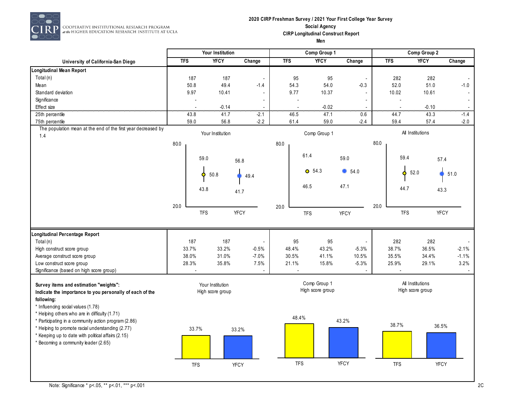

 $\overline{P}$  cooperative institutional research program<br> $\overline{P}$  at the Higher education research institute at ucla

## **2020 CIRP Freshman Survey / 2021 Your First College Year Survey Social Agency CIRP Longitudinal Construct Report**

|                                                                                                                                                                                                 |            | Your Institution                     |                          |            | Comp Group 1                     |             | Comp Group 2 |                   |                                      |         |
|-------------------------------------------------------------------------------------------------------------------------------------------------------------------------------------------------|------------|--------------------------------------|--------------------------|------------|----------------------------------|-------------|--------------|-------------------|--------------------------------------|---------|
| University of California-San Diego                                                                                                                                                              | <b>TFS</b> | <b>YFCY</b>                          | Change                   | <b>TFS</b> | <b>YFCY</b>                      | Change      |              | <b>TFS</b>        | <b>YFCY</b>                          | Change  |
| <b>Longitudinal Mean Report</b>                                                                                                                                                                 |            |                                      |                          |            |                                  |             |              |                   |                                      |         |
| Total (n)                                                                                                                                                                                       | 187        | 187                                  | $\overline{\phantom{a}}$ | 95         | 95                               |             |              | 282               | 282                                  |         |
| Mean                                                                                                                                                                                            | 50.8       | 49.4                                 | $-1.4$                   | 54.3       | 54.0                             | $-0.3$      |              | 52.0              | 51.0                                 | $-1.0$  |
| Standard deviation                                                                                                                                                                              | 9.97       | 10.41                                | $\overline{\phantom{a}}$ | 9.77       | 10.37                            |             |              | 10.02             | 10.61                                |         |
| Significance                                                                                                                                                                                    |            |                                      | $\overline{\phantom{a}}$ |            | $\overline{\phantom{a}}$         |             |              |                   |                                      |         |
| Effect size                                                                                                                                                                                     |            | $-0.14$                              |                          |            | $-0.02$                          |             |              |                   | $-0.10$                              |         |
| 25th percentile                                                                                                                                                                                 | 43.8       | 41.7                                 | $-2.1$                   | 46.5       | 47.1                             | 0.6         |              | 44.7              | 43.3                                 | -1.4    |
| 75th percentile                                                                                                                                                                                 | 59.0       | 56.8                                 | $-2.2$                   | 61.4       | 59.0                             | $-2.4$      |              | 59.4              | 57.4                                 | $-2.0$  |
| The population mean at the end of the first year decreased by<br>1.4                                                                                                                            |            | Your Institution                     |                          |            | Comp Group 1                     |             |              |                   | All Institutions                     |         |
|                                                                                                                                                                                                 | 80.0       |                                      |                          | 80.0       |                                  |             | 80.0         |                   |                                      |         |
|                                                                                                                                                                                                 |            |                                      |                          |            | 61.4                             |             |              |                   |                                      |         |
|                                                                                                                                                                                                 |            | 59.0                                 | 56.8                     |            |                                  | 59.0        |              | 59.4              | 57.4                                 |         |
|                                                                                                                                                                                                 |            | 50.8                                 | 49.4                     |            | $O$ 54.3                         | 6.54.0      |              | 52.0<br>$\bullet$ |                                      | 51.0    |
|                                                                                                                                                                                                 |            | 43.8                                 | 41.7                     |            | 46.5                             | 47.1        |              | 44.7              | 43.3                                 |         |
|                                                                                                                                                                                                 | 20.0       |                                      |                          | 20.0       |                                  |             | 20.0         |                   |                                      |         |
|                                                                                                                                                                                                 |            | <b>TFS</b>                           | YFCY                     |            | <b>TFS</b>                       | <b>YFCY</b> |              | <b>TFS</b>        | <b>YFCY</b>                          |         |
| Longitudinal Percentage Report                                                                                                                                                                  |            |                                      |                          |            |                                  |             |              |                   |                                      |         |
| Total (n)                                                                                                                                                                                       | 187        | 187                                  |                          | 95         | 95                               |             |              | 282               | 282                                  |         |
| High construct score group                                                                                                                                                                      | 33.7%      | 33.2%                                | $-0.5%$                  | 48.4%      | 43.2%                            | $-5.3%$     |              | 38.7%             | 36.5%                                | $-2.1%$ |
| Average construct score group                                                                                                                                                                   | 38.0%      | 31.0%                                | $-7.0%$                  | 30.5%      | 41.1%                            | 10.5%       |              | 35.5%             | 34.4%                                | $-1.1%$ |
| Low construct score group                                                                                                                                                                       | 28.3%      | 35.8%                                | 7.5%                     | 21.1%      | 15.8%                            | $-5.3%$     |              | 25.9%             | 29.1%                                | 3.2%    |
| Significance (based on high score group)                                                                                                                                                        |            |                                      |                          |            |                                  |             |              |                   |                                      |         |
| Survey items and estimation "weights":<br>Indicate the importance to you personally of each of the<br>following:                                                                                |            | Your Institution<br>High score group |                          |            | Comp Group 1<br>High score group |             |              |                   | All Institutions<br>High score group |         |
| * Influencing social values (1.78)<br>* Helping others who are in difficulty (1.71)<br>* Participating in a community action program (2.86)<br>* Helping to promote racial understanding (2.77) | 33.7%      |                                      | 33.2%                    |            | 48.4%                            | 43.2%       |              | 38.7%             | 36.5%                                |         |
| * Keeping up to date with political affairs (2.15)<br>* Becoming a community leader (2.65)                                                                                                      |            |                                      |                          |            |                                  |             |              |                   |                                      |         |
|                                                                                                                                                                                                 | <b>TFS</b> |                                      | <b>YFCY</b>              |            | <b>TFS</b>                       | <b>YFCY</b> |              | <b>TFS</b>        | YFCY                                 |         |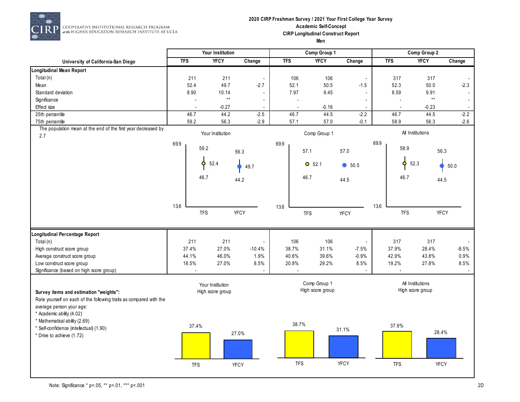

 $\begin{array}{c} \textbf{COOPERATIVE INSTITUTIONAL RESLARCH PROGRAM} \\ \textit{at the HIGHER EDUCATION RESLARCH INSTITUTE AT UCLA} \end{array}$ 

#### **2020 CIRP Freshman Survey / 2021 Your First College Year Survey Academic Self-Concept CIRP Longitudinal Construct Report Men**

|                                                                                                              |            | Your Institution |                                      |                          |            |                | Comp Group 1                     |             | Comp Group 2 |            |                                      |         |
|--------------------------------------------------------------------------------------------------------------|------------|------------------|--------------------------------------|--------------------------|------------|----------------|----------------------------------|-------------|--------------|------------|--------------------------------------|---------|
| University of California-San Diego                                                                           | <b>TFS</b> |                  | <b>YFCY</b>                          | Change                   | <b>TFS</b> |                | <b>YFCY</b>                      | Change      |              | <b>TFS</b> | <b>YFCY</b>                          | Change  |
| <b>Longitudinal Mean Report</b>                                                                              |            |                  |                                      |                          |            |                |                                  |             |              |            |                                      |         |
| Total (n)                                                                                                    |            | 211              | 211                                  | $\overline{\phantom{a}}$ |            | 106            | 106                              |             |              | 317        | 317                                  |         |
| Mean                                                                                                         |            | 52.4             | 49.7                                 | $-2.7$                   |            | 52.1           | 50.5                             | $-1.5$      |              | 52.3       | 50.0                                 | $-2.3$  |
| Standard deviation                                                                                           |            | 8.90             | 10.14                                | $\blacksquare$           |            | 7.97           | 9.45                             |             |              | 8.59       | 9.91                                 |         |
| Significance                                                                                                 |            |                  | $\star\star$                         | $\overline{a}$           |            |                |                                  |             |              |            | $\star\star$                         |         |
| Effect size                                                                                                  |            |                  | $-0.27$                              |                          |            |                | $-0.16$                          |             |              |            |                                      |         |
| 25th percentile                                                                                              |            | 46.7             | 44.2                                 | $-2.5$                   |            | 46.7           | 44.5                             | $-2.2$      |              | 46.7       | $-0.23$<br>44.5                      | $2.2$   |
| 75th percentile                                                                                              |            | 59.2             | 56.3                                 | $-2.9$                   |            | 57.1           | 57.0                             | $-0.1$      |              | 58.9       | 56.3                                 | $-2.6$  |
| The population mean at the end of the first year decreased by<br>2.7                                         |            |                  | Your Institution                     |                          |            |                | Comp Group 1                     |             |              |            | All Institutions                     |         |
|                                                                                                              | 69.9       | 59.2             |                                      | 56.3                     | 69.9       | 57.1           |                                  | 57.0        | 69.9         | 58.9       | 56.3                                 |         |
|                                                                                                              |            | ٥                | 52.4                                 | 49.7                     |            |                | $O$ 52.1                         | 650.5       |              | Ó          | 52.3                                 | 50.0    |
|                                                                                                              |            | 46.7             |                                      | 44.2                     |            | 46.7           |                                  | 44.5        |              | 46.7       | 44.5                                 |         |
|                                                                                                              |            |                  |                                      |                          |            |                |                                  |             |              |            |                                      |         |
|                                                                                                              | 13.6       |                  |                                      |                          | 13.6       |                |                                  |             | 13.6         |            |                                      |         |
|                                                                                                              |            | <b>TFS</b>       |                                      | <b>YFCY</b>              |            | <b>TFS</b>     |                                  | <b>YFCY</b> |              | <b>TFS</b> | <b>YFCY</b>                          |         |
| Longitudinal Percentage Report                                                                               |            |                  |                                      |                          |            |                |                                  |             |              |            |                                      |         |
| Total (n)                                                                                                    |            | 211              | 211                                  |                          |            | 106            | 106                              |             |              | 317        | 317                                  |         |
| High construct score group                                                                                   |            | 37.4%            | 27.0%                                | $-10.4%$                 | 38.7%      |                | 31.1%                            | $-7.5%$     |              | 37.9%      | 28.4%                                | $-9.5%$ |
| Average construct score group                                                                                |            | 44.1%            | 46.0%                                | 1.9%                     | 40.6%      |                | 39.6%                            | $-0.9%$     |              | 42.9%      | 43.8%                                | 0.9%    |
| Low construct score group                                                                                    |            | 18.5%            | 27.0%                                | 8.5%                     | 20.8%      |                | 29.2%                            | 8.5%        |              | 19.2%      | 27.8%                                | 8.5%    |
| Significance (based on high score group)                                                                     |            |                  |                                      |                          |            | $\overline{a}$ |                                  |             |              |            |                                      |         |
| Survey items and estimation "weights":<br>Rate yourself on each of the following traits as compared with the |            |                  | Your Institution<br>High score group |                          |            |                | Comp Group 1<br>High score group |             |              |            | All Institutions<br>High score group |         |
| average person your age:<br>* Academic ability (4.02)<br>* Mathematical ability (2.69)                       |            |                  |                                      |                          |            |                |                                  |             |              |            |                                      |         |
| * Self-confidence (intellectual) (1.90)                                                                      |            | 37.4%            |                                      | 27.0%                    |            | 38.7%          |                                  | 31.1%       |              | 37.9%      | 28.4%                                |         |
| * Drive to achieve (1.72)                                                                                    |            |                  |                                      |                          |            |                |                                  |             |              |            |                                      |         |
|                                                                                                              |            | <b>TFS</b>       |                                      | <b>YFCY</b>              |            | <b>TFS</b>     |                                  | YFCY        |              | <b>TFS</b> | YFCY                                 |         |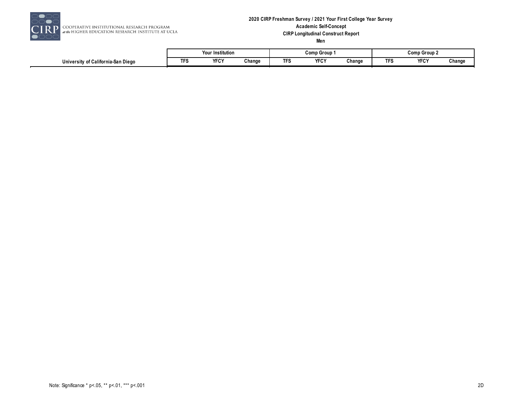

RP COOPERATIVE INSTITUTIONAL RESEARCH PROGRAM<br>at the HIGHER EDUCATION RESEARCH INSTITUTE AT UCLA

#### **2020 CIRP Freshman Survey / 2021 Your First College Year Survey Academic Self-Concept CIRP Longitudinal Construct Report Men**

|                                         |    | ur Institution    |        |      | Comp Group  |        | Comp Group |             |        |  |  |
|-----------------------------------------|----|-------------------|--------|------|-------------|--------|------------|-------------|--------|--|--|
| University of California-San<br>ı Dieac | -- | <b>VECV</b><br>ᅚᅛ | Change | ٠Γν. | <b>YFCY</b> | Change | --<br>. .  | <b>YFCY</b> | Change |  |  |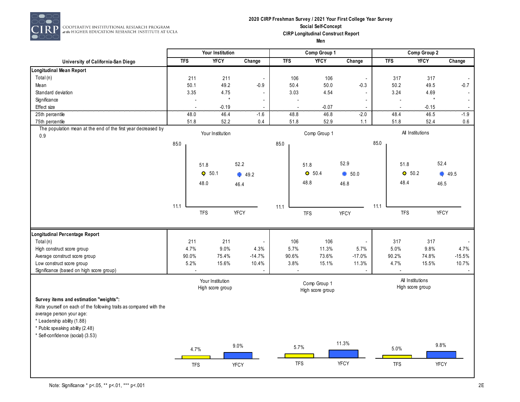

 $\begin{array}{c} \textbf{COOPERATIVE INSTITUTIONAL RESLARCH PROGRAM} \\ \textit{at the HIGHER EDUCATION RESLARCH INSTITUTE AT UCLA} \end{array}$ 

#### **2020 CIRP Freshman Survey / 2021 Your First College Year Survey Social Self-Concept CIRP Longitudinal Construct Report Men**

|                                                                      | Your Institution |                          |                                      |                          |      |            | Comp Group 1                     |                          | Comp Group 2 |                                      |             |          |
|----------------------------------------------------------------------|------------------|--------------------------|--------------------------------------|--------------------------|------|------------|----------------------------------|--------------------------|--------------|--------------------------------------|-------------|----------|
| University of California-San Diego                                   | <b>TFS</b>       |                          | <b>YFCY</b>                          | Change                   |      | <b>TFS</b> | <b>YFCY</b>                      | Change                   |              | <b>TFS</b>                           | <b>YFCY</b> | Change   |
| Longitudinal Mean Report                                             |                  |                          |                                      |                          |      |            |                                  |                          |              |                                      |             |          |
| Total (n)                                                            |                  | 211                      | 211                                  | $\overline{\phantom{a}}$ |      | 106        | 106                              | $\overline{\phantom{a}}$ |              | 317                                  | 317         | $\sim$   |
| Mean                                                                 |                  | 50.1                     | 49.2                                 | $-0.9$                   |      | 50.4       | 50.0                             | $-0.3$                   |              | 50.2                                 | 49.5        | $-0.7$   |
| Standard deviation                                                   |                  | 3.35                     | 4.75                                 | $\frac{1}{2}$            |      | 3.03       | 4.54                             | $\blacksquare$           |              | 3.24                                 | 4.69        | $\sim$   |
| Significance                                                         |                  | $\overline{\phantom{a}}$ | $\star$                              |                          |      |            |                                  |                          |              |                                      | $\star$     | $\sim$   |
| Effect size                                                          |                  |                          | $-0.19$                              |                          |      |            | $-0.07$                          |                          |              |                                      | $-0.15$     |          |
| 25th percentile                                                      |                  | 48.0                     | 46.4                                 | $-1.6$                   |      | 48.8       | 46.8                             | $-2.0$                   |              | 48.4                                 | 46.5        | $-1.9$   |
| 75th percentile                                                      |                  | 51.8                     | 52.2                                 | 0.4                      |      | 51.8       | 52.9                             | 1.1                      |              | 51.8                                 | 52.4        | 0.6      |
| The population mean at the end of the first year decreased by<br>0.9 |                  |                          | Your Institution                     |                          |      |            | Comp Group 1                     |                          |              | All Institutions                     |             |          |
|                                                                      | 85.0             |                          |                                      |                          | 85.0 |            |                                  |                          | 85.0         |                                      |             |          |
|                                                                      |                  | 51.8                     |                                      | 52.2                     |      |            | 51.8                             | 52.9                     |              | 51.8                                 | 52.4        |          |
|                                                                      |                  | $Q$ 50.1                 |                                      | 49.2                     |      |            | O 50.4                           | $\bullet$ 50.0           |              | O 50.2                               |             | 49.5     |
|                                                                      |                  | 48.0                     |                                      | 46.4                     |      |            | 48.8                             | 46.8                     |              | 48.4                                 | 46.5        |          |
|                                                                      |                  |                          |                                      |                          |      |            |                                  |                          |              |                                      |             |          |
|                                                                      | 11.1             |                          |                                      |                          | 11.1 |            |                                  |                          | 11.1         |                                      |             |          |
|                                                                      |                  | <b>TFS</b>               |                                      | <b>YFCY</b>              |      |            | <b>TFS</b>                       | <b>YFCY</b>              |              | <b>TFS</b>                           | <b>YFCY</b> |          |
| Longitudinal Percentage Report                                       |                  |                          |                                      |                          |      |            |                                  |                          |              |                                      |             |          |
| Total (n)                                                            |                  | 211                      | 211                                  |                          |      | 106        | 106                              |                          |              | 317                                  | 317         |          |
| High construct score group                                           |                  | 4.7%                     | 9.0%                                 | 4.3%                     |      | 5.7%       | 11.3%                            | 5.7%                     |              | 5.0%                                 | 9.8%        | 4.7%     |
| Average construct score group                                        |                  | 90.0%                    | 75.4%                                | $-14.7%$                 |      | 90.6%      | 73.6%                            | $-17.0%$                 |              | 90.2%                                | 74.8%       | $-15.5%$ |
| Low construct score group                                            |                  | 5.2%                     | 15.6%                                | 10.4%                    |      | 3.8%       | 15.1%                            | 11.3%                    |              | 4.7%                                 | 15.5%       | 10.7%    |
| Significance (based on high score group)                             |                  |                          |                                      |                          |      |            |                                  |                          |              |                                      |             |          |
|                                                                      |                  |                          | Your Institution<br>High score group |                          |      |            | Comp Group 1<br>High score group |                          |              | All Institutions<br>High score group |             |          |
| Survey items and estimation "weights":                               |                  |                          |                                      |                          |      |            |                                  |                          |              |                                      |             |          |
| Rate yourself on each of the following traits as compared with the   |                  |                          |                                      |                          |      |            |                                  |                          |              |                                      |             |          |
| average person your age:                                             |                  |                          |                                      |                          |      |            |                                  |                          |              |                                      |             |          |
| * Leadership ability (1.88)                                          |                  |                          |                                      |                          |      |            |                                  |                          |              |                                      |             |          |
| * Public speaking ability (2.48)                                     |                  |                          |                                      |                          |      |            |                                  |                          |              |                                      |             |          |
| * Self-confidence (social) (3.53)                                    |                  |                          |                                      |                          |      |            |                                  |                          |              |                                      |             |          |
|                                                                      |                  | 4.7%                     |                                      | 9.0%                     |      | 5.7%       |                                  | 11.3%                    |              | 5.0%                                 | 9.8%        |          |
|                                                                      |                  | <b>TFS</b>               |                                      | <b>YFCY</b>              |      | <b>TFS</b> |                                  | <b>YFCY</b>              |              | <b>TFS</b>                           | <b>YFCY</b> |          |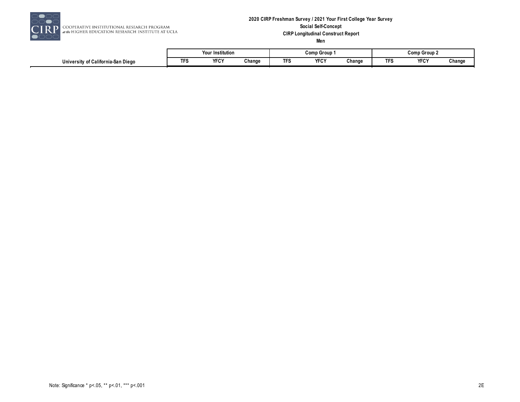

#### **2020 CIRP Freshman Survey / 2021 Your First College Year Survey Social Self-Concept CIRP Longitudinal Construct Report Men**

|                                                            |              | ' Institution<br>Your |        |     | Comp Group       |        | Comp Group 2 |             |        |  |
|------------------------------------------------------------|--------------|-----------------------|--------|-----|------------------|--------|--------------|-------------|--------|--|
| . .<br>. .<br>′ of California-San Dieαo<br>University of C | <u>те по</u> | <b>YFCY</b>           | Change | ΓFξ | <b>VEOV</b><br>. | Change |              | <b>YFCY</b> | Change |  |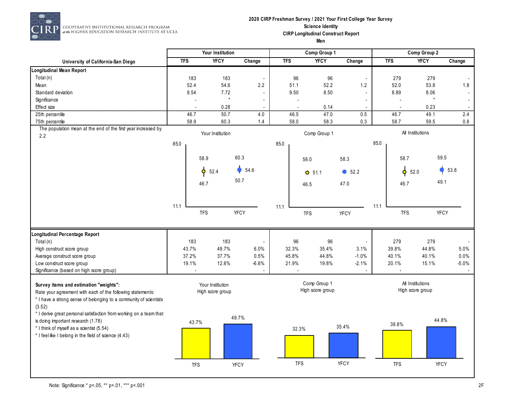

RP COOPERATIVE INSTITUTIONAL RESEARCH PROGRAM<br>at the HIGHER EDUCATION RESEARCH INSTITUTE AT UCLA

#### **2020 CIRP Freshman Survey / 2021 Your First College Year Survey Science Identity CIRP Longitudinal Construct Report Men**

|                                                                                                                                                       | Your Institution |                  |                          |            | Comp Group 1                     |                          | Comp Group 2 |                           |                          |  |
|-------------------------------------------------------------------------------------------------------------------------------------------------------|------------------|------------------|--------------------------|------------|----------------------------------|--------------------------|--------------|---------------------------|--------------------------|--|
| University of California-San Diego                                                                                                                    | <b>TFS</b>       | <b>YFCY</b>      | Change                   | <b>TFS</b> | <b>YFCY</b>                      | Change                   | <b>TFS</b>   | <b>YFCY</b>               | Change                   |  |
| Longitudinal Mean Report                                                                                                                              |                  |                  |                          |            |                                  |                          |              |                           |                          |  |
| Total (n)                                                                                                                                             | 183              | 183              | $\overline{\phantom{a}}$ | 96         | 96                               | $\overline{\phantom{a}}$ | 279          | 279                       |                          |  |
| Mean                                                                                                                                                  | 52.4             | 54.6             | 2.2                      | 51.1       | 52.2                             | $1.2$                    | 52.0         | 53.8                      | 1.8                      |  |
| Standard deviation                                                                                                                                    | 8.54             | 7.72             |                          | 9.50       | 8.50                             | $\blacksquare$           | 8.89         | 8.06                      |                          |  |
| Significance                                                                                                                                          | $\overline{a}$   | $^\star$         | $\overline{\phantom{a}}$ |            |                                  | $\overline{\phantom{a}}$ |              | $\star$<br>$\overline{a}$ | $\overline{\phantom{a}}$ |  |
| Effect size                                                                                                                                           | $\overline{a}$   | 0.28             |                          |            | 0.14                             |                          |              | 0.23<br>$\overline{a}$    |                          |  |
| 25th percentile                                                                                                                                       | 46.7             | 50.7             | 4.0                      | 46.5       | 47.0                             | 0.5                      | 46.7         | 49.1                      | 2.4                      |  |
| 75th percentile                                                                                                                                       | 58.9             | 60.3             | 1.4                      | 58.0       | 58.3                             | 0.3                      | 58.7         | 59.5                      | $0.8\,$                  |  |
| The population mean at the end of the first year increased by<br>2.2                                                                                  |                  | Your Institution |                          |            | Comp Group 1                     |                          |              | All Institutions          |                          |  |
|                                                                                                                                                       | 85.0             |                  |                          | 85.0       |                                  |                          | 85.0         |                           |                          |  |
|                                                                                                                                                       |                  | 58.9             | 60.3                     |            | 58.0                             | 58.3                     |              | 58.7                      | 59.5                     |  |
|                                                                                                                                                       |                  | 52.4<br>۰        | 54.6                     |            | $O$ 51.1                         | 52.2                     |              | 52.0<br>۰                 | 53.8                     |  |
|                                                                                                                                                       |                  | 46.7             | 50.7                     |            | 46.5                             | 47.0                     |              | 46.7                      | 49.1                     |  |
|                                                                                                                                                       |                  |                  |                          |            |                                  |                          |              |                           |                          |  |
|                                                                                                                                                       | 11.1             | <b>TFS</b>       | <b>YFCY</b>              | 11.1       | <b>TFS</b>                       | <b>YFCY</b>              | 11.1         | <b>TFS</b>                | <b>YFCY</b>              |  |
| Longitudinal Percentage Report                                                                                                                        |                  |                  |                          |            |                                  |                          |              |                           |                          |  |
| Total (n)                                                                                                                                             | 183              | 183              |                          | 96         | 96                               | $\overline{\phantom{a}}$ | 279          | 279                       |                          |  |
| High construct score group                                                                                                                            | 43.7%            | 49.7%            | 6.0%                     | 32.3%      | 35.4%                            | 3.1%                     | 39.8%        | 44.8%                     | 5.0%                     |  |
| Average construct score group                                                                                                                         | 37.2%            | 37.7%            | 0.5%                     | 45.8%      | 44.8%                            | $-1.0%$                  | 40.1%        | 40.1%                     | 0.0%                     |  |
| Low construct score group                                                                                                                             | 19.1%            | 12.6%            | $-6.6%$                  | 21.9%      | 19.8%                            | $-2.1%$                  | 20.1%        | 15.1%                     | $-5.0%$                  |  |
| Significance (based on high score group)                                                                                                              |                  |                  |                          |            |                                  |                          |              |                           |                          |  |
| Survey items and estimation "weights":                                                                                                                |                  | Your Institution |                          |            | Comp Group 1<br>High score group |                          |              | All Institutions          |                          |  |
| Rate your agreement with each of the following statements:<br>* I have a strong sense of belonging to a community of scientists<br>(3.52)             |                  | High score group |                          |            |                                  |                          |              | High score group          |                          |  |
| * I derive great personal satisfaction from working on a team that<br>is doing important research (1.78)<br>* I think of myself as a scientist (5.54) | 43.7%            |                  | 49.7%                    |            |                                  | 35.4%                    | 39.8%        |                           | 44.8%                    |  |
| * I feel like I belong in the field of science (4.43)                                                                                                 |                  |                  |                          |            | 32.3%                            |                          |              |                           |                          |  |
|                                                                                                                                                       | <b>TFS</b>       |                  | <b>YFCY</b>              |            | <b>TFS</b>                       | <b>YFCY</b>              | <b>TFS</b>   |                           | YFCY                     |  |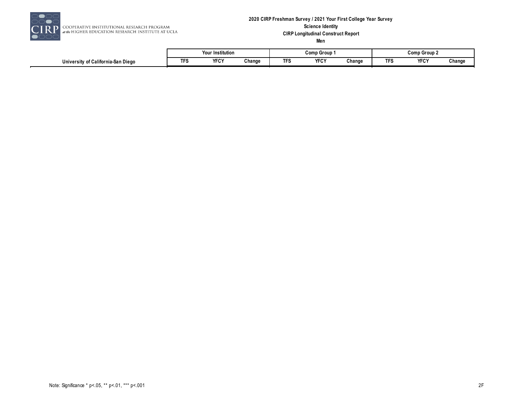

#### **2020 CIRP Freshman Survey / 2021 Your First College Year Survey Science Identity CIRP Longitudinal Construct Report Men**

|                                                |            | <br>Your Institution    |        |          | Comr<br>) Group |        | Comp Group 2 |                     |        |  |
|------------------------------------------------|------------|-------------------------|--------|----------|-----------------|--------|--------------|---------------------|--------|--|
| $\cdots$<br>University of California-San Diego | <b>TFS</b> | <b>VEOV</b><br>Yŀ<br>பு | Change | T<br>.FS | YFCY            | Change |              | <b>VECV</b><br>ֿירע | Change |  |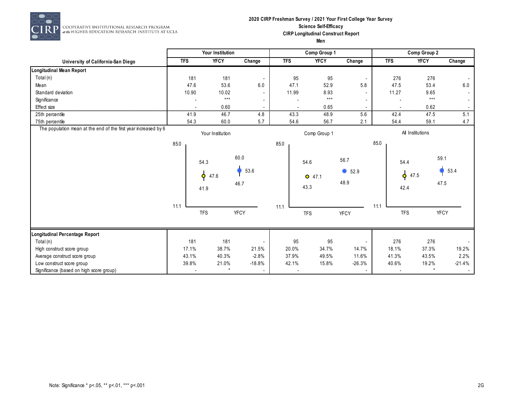

## **2020 CIRP Freshman Survey / 2021 Your First College Year Survey Science Self-Efficacy CIRP Longitudinal Construct Report**

|                                                                 |            | Your Institution                  |                      |                          | Comp Group 1             |                          | Comp Group 2 |                             |              |          |
|-----------------------------------------------------------------|------------|-----------------------------------|----------------------|--------------------------|--------------------------|--------------------------|--------------|-----------------------------|--------------|----------|
| University of California-San Diego                              | <b>TFS</b> | <b>YFCY</b>                       | Change               | <b>TFS</b>               | <b>YFCY</b>              | Change                   |              | <b>TFS</b>                  | <b>YFCY</b>  | Change   |
| <b>Longitudinal Mean Report</b>                                 |            |                                   |                      |                          |                          |                          |              |                             |              |          |
| Total (n)                                                       | 181        | 181                               |                      | 95                       | 95                       |                          |              | 276                         | 276          |          |
| Mean                                                            | 47.6       | 53.6                              | 6.0                  | 47.1                     | 52.9                     | 5.8                      |              | 47.5                        | 53.4         | 6.0      |
| Standard deviation                                              | 10.90      | 10.02                             |                      | 11.99                    | 8.93                     |                          |              | 11.27                       | 9.65         |          |
| Significance                                                    |            | $***$                             |                      |                          | $\star\star\star$        | $\overline{\phantom{a}}$ |              |                             | $***$        |          |
| Effect size                                                     |            | 0.60                              |                      |                          | $0.65\,$                 | .                        |              |                             | 0.62<br>.    |          |
| 25th percentile                                                 | 41.9       | 46.7                              | 4.8                  | 43.3                     | 48.9                     | 5.6                      |              | 42.4                        | 47.5         | 5.1      |
| 75th percentile                                                 | 54.3       | 60.0                              | 5.7                  | 54.6                     | 56.7                     | 2.1                      |              | 54.4                        | 59.1         | 4.7      |
| The population mean at the end of the first year increased by 6 |            | Your Institution                  |                      |                          | Comp Group 1             |                          |              | All Institutions            |              |          |
|                                                                 | 85.0       |                                   |                      | 85.0                     |                          |                          | 85.0         |                             |              |          |
|                                                                 |            | 54.3<br>$\bullet$<br>47.6<br>41.9 | 60.0<br>53.6<br>46.7 |                          | 54.6<br>$O$ 47.1<br>43.3 | 56.7<br>952.9<br>48.9    |              | 54.4<br>$\phi$ 47.5<br>42.4 | 59.1<br>47.5 | 53.4     |
|                                                                 | 11.1       | <b>TFS</b>                        | <b>YFCY</b>          | 11.1                     | <b>TFS</b>               | <b>YFCY</b>              | 11.1         | <b>TFS</b>                  | <b>YFCY</b>  |          |
| Longitudinal Percentage Report                                  |            |                                   |                      |                          |                          |                          |              |                             |              |          |
| Total (n)                                                       | 181        | 181                               |                      | 95                       | 95                       | $\overline{\phantom{a}}$ |              | 276                         | 276          |          |
| High construct score group                                      | 17.1%      | 38.7%                             | 21.5%                | 20.0%                    | 34.7%                    | 14.7%                    |              | 18.1%                       | 37.3%        | 19.2%    |
| Average construct score group                                   | 43.1%      | 40.3%                             | $-2.8%$              | 37.9%                    | 49.5%                    | 11.6%                    |              | 41.3%                       | 43.5%        | 2.2%     |
| Low construct score group                                       | 39.8%      | 21.0%                             | $-18.8%$             | 42.1%                    | 15.8%                    | $-26.3%$                 |              | 40.6%                       | 19.2%        | $-21.4%$ |
| Significance (based on high score group)                        |            | $^\star$                          | $\sim$               | $\overline{\phantom{a}}$ |                          | $\overline{\phantom{a}}$ |              |                             |              |          |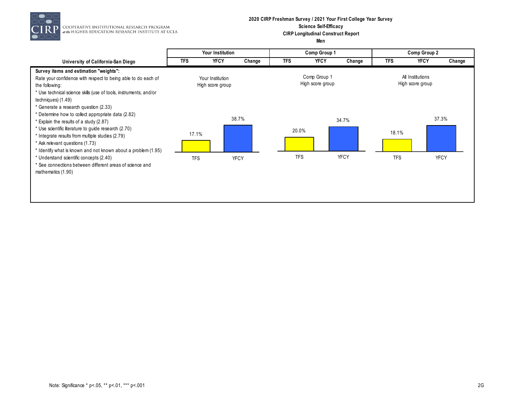

COOPERATIVE INSTITUTIONAL RESEARCH PROGRAM<br>at the HIGHER EDUCATION RESEARCH INSTITUTE AT UCLA

#### **2020 CIRP Freshman Survey / 2021 Your First College Year Survey Science Self-Efficacy CIRP Longitudinal Construct Report Men**

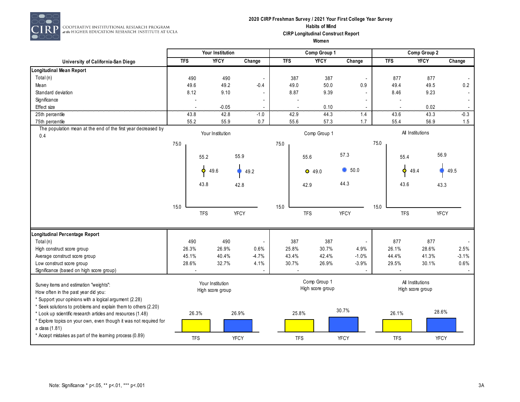

## **2020 CIRP Freshman Survey / 2021 Your First College Year Survey Habits of Mind CIRP Longitudinal Construct Report**

**Women**

|                                                                                                                          | Your Institution |                  |                          | Comp Group 1 |            |                  |                          | Comp Group 2 |            |                  |         |
|--------------------------------------------------------------------------------------------------------------------------|------------------|------------------|--------------------------|--------------|------------|------------------|--------------------------|--------------|------------|------------------|---------|
| University of California-San Diego                                                                                       | <b>TFS</b>       | <b>YFCY</b>      | Change                   | <b>TFS</b>   |            | <b>YFCY</b>      | Change                   |              | <b>TFS</b> | <b>YFCY</b>      | Change  |
| Longitudinal Mean Report                                                                                                 |                  |                  |                          |              |            |                  |                          |              |            |                  |         |
| Total (n)                                                                                                                | 490              | 490              | $\overline{\phantom{a}}$ | 387          |            | 387              | $\overline{\phantom{a}}$ |              | 877        | 877              |         |
| Mean                                                                                                                     | 49.6             | 49.2             | $-0.4$                   | 49.0         |            | 50.0             | 0.9                      |              | 49.4       | 49.5             | 0.2     |
| Standard deviation                                                                                                       | 8.12             | 9.10             |                          | 8.87         |            | 9.39             |                          |              | 8.46       | 9.23             |         |
| Significance                                                                                                             |                  |                  |                          |              |            |                  |                          |              |            |                  |         |
| Effect size                                                                                                              |                  | $-0.05$          |                          |              |            | 0.10             |                          |              |            | 0.02             |         |
| 25th percentile                                                                                                          | 43.8             | 42.8             | $-1.0$                   | 42.9         |            | 44.3             | 1.4                      |              | 43.6       | 43.3             | $-0.3$  |
| 75th percentile                                                                                                          | 55.2             | 55.9             | 0.7                      | 55.6         |            | 57.3             | 1.7                      |              | 55.4       | 56.9             | 1.5     |
| The population mean at the end of the first year decreased by                                                            |                  | Your Institution |                          |              |            | Comp Group 1     |                          |              |            | All Institutions |         |
| 0.4                                                                                                                      |                  |                  |                          |              |            |                  |                          |              |            |                  |         |
|                                                                                                                          | 75.0             |                  |                          | 75.0         |            |                  |                          | 75.0         |            |                  |         |
|                                                                                                                          |                  | 55.2             | 55.9                     |              | 55.6       |                  | 57.3                     |              | 55.4       | 56.9             |         |
|                                                                                                                          |                  |                  |                          |              |            |                  |                          |              |            |                  |         |
|                                                                                                                          |                  | Ó<br>49.6        | 49.2                     |              | $O$ 49.0   |                  | $\bullet$ 50.0           |              | $\bullet$  | 49.4             | 49.5    |
|                                                                                                                          |                  | 43.8             | 42.8                     |              | 42.9       |                  | 44.3                     |              | 43.6       | 43.3             |         |
|                                                                                                                          |                  |                  |                          |              |            |                  |                          |              |            |                  |         |
|                                                                                                                          |                  |                  |                          |              |            |                  |                          |              |            |                  |         |
|                                                                                                                          | 15.0             | <b>TFS</b>       | <b>YFCY</b>              | 15.0         | <b>TFS</b> |                  | YFCY                     | 15.0         | <b>TFS</b> |                  | YFCY    |
|                                                                                                                          |                  |                  |                          |              |            |                  |                          |              |            |                  |         |
| Longitudinal Percentage Report                                                                                           |                  |                  |                          |              |            |                  |                          |              |            |                  |         |
| Total (n)                                                                                                                | 490              | 490              | $\overline{\phantom{a}}$ | 387          |            | 387              |                          |              | 877        | 877              |         |
| High construct score group                                                                                               | 26.3%            | 26.9%            | 0.6%                     | 25.8%        |            | 30.7%            | 4.9%                     |              | 26.1%      | 28.6%            | 2.5%    |
| Average construct score group                                                                                            | 45.1%            | 40.4%            | $-4.7%$                  | 43.4%        |            | 42.4%            | $-1.0%$                  |              | 44.4%      | 41.3%            | $-3.1%$ |
| Low construct score group                                                                                                | 28.6%            | 32.7%            | 4.1%                     | 30.7%        |            | 26.9%            | $-3.9%$                  |              | 29.5%      | 30.1%            | 0.6%    |
| Significance (based on high score group)                                                                                 |                  |                  |                          |              |            |                  |                          |              |            |                  |         |
|                                                                                                                          |                  | Your Institution |                          |              |            | Comp Group 1     |                          |              |            | All Institutions |         |
| Survey items and estimation "weights":                                                                                   |                  | High score group |                          |              |            | High score group |                          |              |            | High score group |         |
| How often in the past year did you:                                                                                      |                  |                  |                          |              |            |                  |                          |              |            |                  |         |
| * Support your opinions with a logical argument (2.28)<br>* Seek solutions to problems and explain them to others (2.20) |                  |                  |                          |              |            |                  |                          |              |            |                  |         |
| * Look up scientific research articles and resources (1.48)                                                              | 26.3%            |                  | 26.9%                    |              | 25.8%      |                  | 30.7%                    |              | 26.1%      | 28.6%            |         |
| * Explore topics on your own, even though it was not required for                                                        |                  |                  |                          |              |            |                  |                          |              |            |                  |         |
| a class (1.81)                                                                                                           |                  |                  |                          |              |            |                  |                          |              |            |                  |         |
| * Accept mistakes as part of the learning process (0.89)                                                                 | <b>TFS</b>       |                  | <b>YFCY</b>              |              | <b>TFS</b> |                  | <b>YFCY</b>              |              | <b>TFS</b> | <b>YFCY</b>      |         |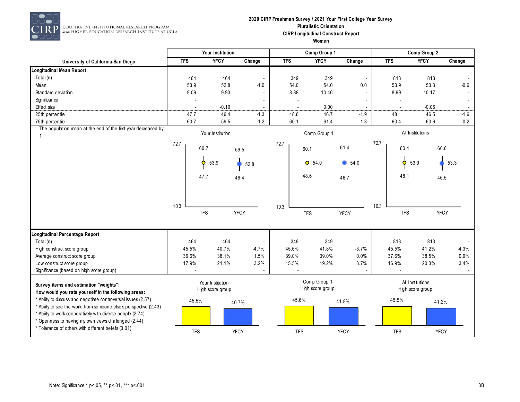

#### **2020 CIRP Freshman Survey / 2021 Your First College Year Survey Pluralistic Orientation CIRP Longitudinal Construct Report Women**

|                                                                                                                       |            |                  | Your Institution |                          |            |            | Comp Group 1     |                          |      |            | Comp Group 2     |         |
|-----------------------------------------------------------------------------------------------------------------------|------------|------------------|------------------|--------------------------|------------|------------|------------------|--------------------------|------|------------|------------------|---------|
| University of California-San Diego                                                                                    | <b>TFS</b> |                  | <b>YFCY</b>      | Change                   | <b>TFS</b> |            | <b>YFCY</b>      | Change                   |      | <b>TFS</b> | <b>YFCY</b>      | Change  |
| Longitudinal Mean Report                                                                                              |            |                  |                  |                          |            |            |                  |                          |      |            |                  |         |
| Total (n)                                                                                                             |            | 464              | 464              | $\overline{\phantom{a}}$ | 349        |            | 349              | $\overline{\phantom{a}}$ |      | 813        | 813              |         |
| Mean                                                                                                                  |            | 53.9             | 52.8             | $-1.0$                   | 54.0       |            | 54.0             | 0.0                      |      | 53.9       | 53.3             | $-0.6$  |
| Standard deviation                                                                                                    |            | 9.09             | 9.93             | $\overline{\phantom{a}}$ | 8.88       |            | 10.46            |                          |      | 8.99       | 10.17            |         |
| Significance                                                                                                          |            |                  |                  |                          |            |            |                  |                          |      |            |                  |         |
| Effect size                                                                                                           |            |                  | $-0.10$          |                          |            |            | 0.00             |                          |      |            | $-0.06$          |         |
| 25th percentile                                                                                                       |            | 47.7             | 46.4             | $-1.3$                   | 48.6       |            | 46.7             | $-1.9$                   |      | 48.1       | 46.5             | $-1.6$  |
| 75th percentile                                                                                                       |            | 60.7             | 59.5             | $-1.2$                   | 60.1       |            | 61.4             | 1.3                      |      | 60.4       | 60.6             | 0.2     |
| The population mean at the end of the first year decreased by                                                         |            |                  |                  |                          |            |            |                  |                          |      |            |                  |         |
|                                                                                                                       |            |                  | Your Institution |                          |            |            | Comp Group 1     |                          |      |            | All Institutions |         |
|                                                                                                                       | 72.7       |                  |                  |                          | 72.7       |            |                  | 61.4                     | 72.7 |            |                  |         |
|                                                                                                                       |            | 60.7             |                  | 59.5                     |            | 60.1       |                  |                          |      | 60.4       | 60.6             |         |
|                                                                                                                       |            | $\ddot{\bullet}$ | 53.9             |                          |            |            | $O$ 54.0         | 654.0                    |      | ¢          | 53.9             | 53.3    |
|                                                                                                                       |            |                  |                  | 52.8                     |            |            |                  |                          |      |            |                  |         |
|                                                                                                                       |            | 47.7             |                  | 46.4                     |            | 48.6       |                  |                          |      | 48.1       |                  |         |
|                                                                                                                       |            |                  |                  |                          |            |            |                  | 46.7                     |      |            | 46.5             |         |
|                                                                                                                       |            |                  |                  |                          |            |            |                  |                          |      |            |                  |         |
|                                                                                                                       |            |                  |                  |                          |            |            |                  |                          |      |            |                  |         |
|                                                                                                                       | 10.3       |                  |                  |                          | 10.3       |            |                  |                          | 10.3 |            |                  |         |
|                                                                                                                       |            | <b>TFS</b>       |                  | <b>YFCY</b>              |            | <b>TFS</b> |                  | <b>YFCY</b>              |      | <b>TFS</b> | YFCY             |         |
|                                                                                                                       |            |                  |                  |                          |            |            |                  |                          |      |            |                  |         |
|                                                                                                                       |            |                  |                  |                          |            |            |                  |                          |      |            |                  |         |
| Longitudinal Percentage Report                                                                                        |            |                  |                  |                          |            |            |                  |                          |      |            |                  |         |
| Total (n)                                                                                                             |            | 464              | 464              | $\overline{\phantom{a}}$ | 349        |            | 349              |                          |      | 813        | 813              |         |
| High construct score group                                                                                            |            | 45.5%            | 40.7%            | $-4.7%$                  | 45.6%      |            | 41.8%            | $-3.7%$                  |      | 45.5%      | 41.2%            | $-4.3%$ |
| Average construct score group                                                                                         |            | 36.6%            | 38.1%            | 1.5%                     | 39.0%      |            | 39.0%            | 0.0%                     |      | 37.6%      | 38.5%            | 0.9%    |
| Low construct score group                                                                                             |            | 17.9%            | 21.1%            | 3.2%                     | 15.5%      |            | 19.2%            | 3.7%                     |      | 16.9%      | 20.3%            | 3.4%    |
| Significance (based on high score group)                                                                              |            |                  |                  |                          |            |            |                  |                          |      |            |                  |         |
|                                                                                                                       |            |                  | Your Institution |                          |            |            | Comp Group 1     |                          |      |            | All Institutions |         |
| Survey items and estimation "weights":                                                                                |            |                  | High score group |                          |            |            | High score group |                          |      |            | High score group |         |
| How would you rate yourself in the following areas:<br>* Ability to discuss and negotiate controversial issues (2.57) |            |                  |                  |                          |            |            |                  |                          |      |            |                  |         |
| * Ability to see the world from someone else's perspective (2.43)                                                     |            | 45.5%            |                  | 40.7%                    |            | 45.6%      |                  | 41.8%                    |      | 45.5%      | 41.2%            |         |
| * Ability to work cooperatively with diverse people (2.74)                                                            |            |                  |                  |                          |            |            |                  |                          |      |            |                  |         |
| * Openness to having my own views challenged (2.44)                                                                   |            |                  |                  |                          |            |            |                  |                          |      |            |                  |         |
| * Tolerance of others with different beliefs (3.01)                                                                   |            |                  |                  |                          |            |            |                  |                          |      |            |                  |         |
|                                                                                                                       |            | <b>TFS</b>       |                  | <b>YFCY</b>              |            | <b>TFS</b> |                  | <b>YFCY</b>              |      | <b>TFS</b> | <b>YFCY</b>      |         |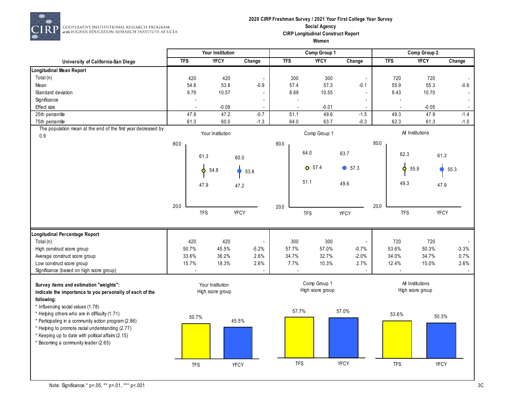

COOPERATIVE INSTITUTIONAL RESEARCH PROGRAM<br>at the HIGHER EDUCATION RESEARCH INSTITUTE AT UCLA

#### **2020 CIRP Freshman Survey / 2021 Your First College Year Survey Social Agency CIRP Longitudinal Construct Report Women**

|                                                                                                                                                |            |            | Your Institution                     |                |            | Comp Group 1                     |                          |      |            | Comp Group 2                         |         |
|------------------------------------------------------------------------------------------------------------------------------------------------|------------|------------|--------------------------------------|----------------|------------|----------------------------------|--------------------------|------|------------|--------------------------------------|---------|
| University of California-San Diego                                                                                                             | <b>TFS</b> |            | <b>YFCY</b>                          | Change         | <b>TFS</b> | <b>YFCY</b>                      | Change                   |      | <b>TFS</b> | <b>YFCY</b>                          | Change  |
| Longitudinal Mean Report                                                                                                                       |            |            |                                      |                |            |                                  |                          |      |            |                                      |         |
| Total (n)                                                                                                                                      |            | 420        | 420                                  |                | 300        | 300                              | $\overline{\phantom{a}}$ |      | 720        | 720                                  |         |
| Mean                                                                                                                                           |            | 54.8       | 53.8                                 | $-0.9$         | 57.4       | 57.3                             | $-0.1$                   |      | 55.9       | 55.3                                 | $-0.6$  |
| Standard deviation                                                                                                                             |            | 9.79       | 10.57                                | $\overline{a}$ | 8.69       | 10.55                            |                          |      | 9.43       | 10.70                                |         |
| Significance                                                                                                                                   |            |            |                                      | $\blacksquare$ |            | $\overline{\phantom{a}}$         |                          |      |            |                                      |         |
| Effect size                                                                                                                                    |            |            | $-0.09$                              |                |            | $-0.01$                          |                          |      |            | $-0.05$                              |         |
| 25th percentile                                                                                                                                |            | 47.9       | 47.2                                 | $-0.7$         | 51.1       | 49.6                             | $-1.5$                   |      | 49.3       | 47.9                                 | $-1.4$  |
| 75th percentile                                                                                                                                |            | 61.3       | 60.0                                 | $-1.3$         | 64.0       | 63.7                             | $-0.3$                   |      | 62.3       | 61.3                                 | $-1.0$  |
| The population mean at the end of the first year decreased by<br>0.9                                                                           |            |            | Your Institution                     |                |            | Comp Group 1                     |                          |      |            | All Institutions                     |         |
|                                                                                                                                                | 80.0       |            |                                      |                | 80.0       |                                  |                          | 80.0 |            |                                      |         |
|                                                                                                                                                |            | 61.3       |                                      | 60.0           |            | 64.0                             | 63.7                     |      | 62.3       | 61.3                                 |         |
|                                                                                                                                                |            | Ó          | 54.8                                 | 53.8           |            | $O$ 57.4                         | 657.3                    |      | Ó.         | 55.9                                 | 55.3    |
|                                                                                                                                                |            | 47.9       |                                      | 47.2           |            | 51.1                             | 49.6                     |      | 49.3       | 47.9                                 |         |
|                                                                                                                                                | 20.0       |            |                                      |                |            |                                  |                          | 20.0 |            |                                      |         |
|                                                                                                                                                |            | <b>TFS</b> |                                      | <b>YFCY</b>    | 20.0       | <b>TFS</b>                       | <b>YFCY</b>              |      | <b>TFS</b> | <b>YFCY</b>                          |         |
| Longitudinal Percentage Report                                                                                                                 |            |            |                                      |                |            |                                  |                          |      |            |                                      |         |
| Total (n)                                                                                                                                      |            | 420        | 420                                  | $\blacksquare$ | 300        | 300                              |                          |      | 720        | 720                                  |         |
| High construct score group                                                                                                                     |            | 50.7%      | 45.5%                                | $-5.2%$        | 57.7%      | 57.0%                            | $-0.7%$                  |      | 53.6%      | 50.3%                                | $-3.3%$ |
| Average construct score group                                                                                                                  |            | 33.6%      | 36.2%                                | 2.6%           | 34.7%      | 32.7%                            | $-2.0%$                  |      | 34.0%      | 34.7%                                | 0.7%    |
| Low construct score group                                                                                                                      |            | 15.7%      | 18.3%                                | 2.6%           | 7.7%       | 10.3%                            | 2.7%                     |      | 12.4%      | 15.0%                                | 2.6%    |
| Significance (based on high score group)                                                                                                       |            |            |                                      |                |            |                                  |                          |      |            |                                      |         |
| Survey items and estimation "weights":<br>Indicate the importance to you personally of each of the<br>following:                               |            |            | Your Institution<br>High score group |                |            | Comp Group 1<br>High score group |                          |      |            | All Institutions<br>High score group |         |
| * Influencing social values (1.78)<br>* Helping others who are in difficulty (1.71)<br>* Participating in a community action program (2.86)    |            | 50.7%      |                                      | 45.5%          |            | 57.7%                            | 57.0%                    |      | 53.6%      | 50.3%                                |         |
| * Helping to promote racial understanding (2.77)<br>* Keeping up to date with political affairs (2.15)<br>* Becoming a community leader (2.65) |            |            |                                      |                |            |                                  |                          |      |            |                                      |         |
|                                                                                                                                                |            | <b>TFS</b> |                                      | <b>YFCY</b>    |            | <b>TFS</b>                       | YFCY                     |      | <b>TFS</b> | YFCY                                 |         |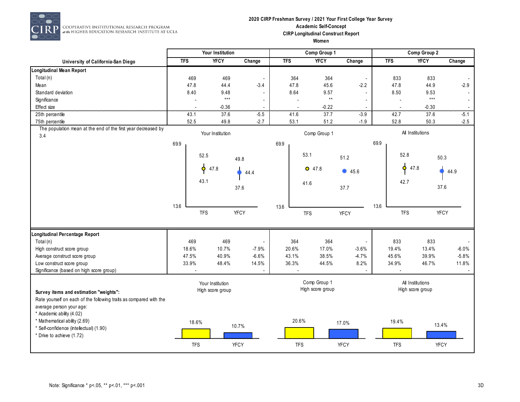

 $\boxed{\textcolor{blue}{\textcolor{blue}{\textbf{P}}}}\ \textcolor{blue}{\overbrace{\textcolor{blue}{\textbf{GOPERATIVE}}\textcolor{blue}{\textbf{INSTITUTIONAL RESEARCH PROGRAM}}\textcolor{blue}{\textcolor{blue}{\textbf{at the HIGHER EDUCATION RESLARCH INSTITUTE AT UCLA}}}}$ 

#### **2020 CIRP Freshman Survey / 2021 Your First College Year Survey Academic Self-Concept CIRP Longitudinal Construct Report Women**

|                                                                      |            | Your Institution  |                          |                               | Comp Group 1     |             |            | Comp Group 2     |             |
|----------------------------------------------------------------------|------------|-------------------|--------------------------|-------------------------------|------------------|-------------|------------|------------------|-------------|
| University of California-San Diego                                   | <b>TFS</b> | <b>YFCY</b>       | Change                   | <b>TFS</b>                    | <b>YFCY</b>      | Change      | <b>TFS</b> | <b>YFCY</b>      | Change      |
| Longitudinal Mean Report                                             |            |                   |                          |                               |                  |             |            |                  |             |
| Total (n)                                                            | 469        | 469               | $\overline{\phantom{a}}$ | 364                           | 364              |             | 833        | 833              |             |
| Mean                                                                 | 47.8       | 44.4              | $-3.4$                   | 47.8                          | 45.6             | $-2.2$      | 47.8       | 44.9             | $-2.9$      |
| Standard deviation                                                   | 8.40       | 9.48              | $\sim$                   | 8.64                          | 9.57             |             | 8.50       | 9.53             |             |
| Significance                                                         |            | $\star\star\star$ | $\overline{a}$           | $\overline{a}$                | $\star\star$     |             |            | $***$            |             |
| Effect size                                                          |            | $-0.36$           | .                        | $\overline{\phantom{a}}$<br>. | $-0.22$          |             | .          | $-0.30$          |             |
| 25th percentile                                                      | 43.1       | 37.6              | $-5.5$                   | 41.6                          | 37.7             | $-3.9$      | 42.7       | 37.6             | $-5.1$      |
| 75th percentile                                                      | 52.5       | 49.8              | $-2.7$                   | 53.1                          | 51.2             | $-1.9$      | 52.8       | 50.3             | $-2.5$      |
| The population mean at the end of the first year decreased by<br>3.4 |            | Your Institution  |                          |                               | Comp Group 1     |             |            | All Institutions |             |
|                                                                      | 69.9       |                   |                          | 69.9                          |                  |             | 69.9       |                  |             |
|                                                                      |            | 52.5              |                          |                               | 53.1             | 51.2        |            | 52.8             | 50.3        |
|                                                                      |            |                   | 49.8                     |                               |                  |             |            |                  |             |
|                                                                      |            | $\phi$<br>47.8    | 44.4                     |                               | $O$ 47.8         | 45.6        |            | p<br>47.8        | 44.9        |
|                                                                      |            | 43.1              |                          |                               | 41.6             |             |            | 42.7             | 37.6        |
|                                                                      |            |                   | 37.6                     |                               |                  | 37.7        |            |                  |             |
|                                                                      | 13.6       |                   |                          | 13.6                          |                  |             | 13.6       |                  |             |
|                                                                      |            | <b>TFS</b>        | <b>YFCY</b>              |                               | <b>TFS</b>       | <b>YFCY</b> |            | <b>TFS</b>       | YFCY        |
|                                                                      |            |                   |                          |                               |                  |             |            |                  |             |
| Longitudinal Percentage Report                                       |            |                   |                          |                               |                  |             |            |                  |             |
| Total (n)                                                            | 469        | 469               | $\overline{\phantom{a}}$ | 364                           | 364              |             | 833        | 833              |             |
| High construct score group                                           | 18.6%      | 10.7%             | $-7.9%$                  | 20.6%                         | 17.0%            | $-3.6%$     | 19.4%      | 13.4%            | $-6.0%$     |
| Average construct score group                                        | 47.5%      | 40.9%             | $-6.6%$                  | 43.1%                         | 38.5%            | $-4.7%$     | 45.6%      | 39.9%            | $-5.8%$     |
| Low construct score group                                            | 33.9%      | 48.4%             | 14.5%                    | 36.3%                         | 44.5%            | 8.2%        | 34.9%      | 46.7%            | 11.8%       |
| Significance (based on high score group)                             |            |                   |                          |                               |                  |             |            |                  |             |
|                                                                      |            | Your Institution  |                          |                               | Comp Group 1     |             |            | All Institutions |             |
| Survey items and estimation "weights":                               |            | High score group  |                          |                               | High score group |             |            | High score group |             |
| Rate yourself on each of the following traits as compared with the   |            |                   |                          |                               |                  |             |            |                  |             |
| average person your age:                                             |            |                   |                          |                               |                  |             |            |                  |             |
| * Academic ability (4.02)                                            |            |                   |                          |                               |                  |             |            |                  |             |
| * Mathematical ability (2.69)                                        | 18.6%      |                   |                          | 20.6%                         |                  |             | 19.4%      |                  |             |
| * Self-confidence (intellectual) (1.90)                              |            |                   | 10.7%                    |                               |                  | 17.0%       |            |                  | 13.4%       |
| * Drive to achieve (1.72)                                            |            |                   |                          |                               |                  |             |            |                  |             |
|                                                                      | <b>TFS</b> |                   | <b>YFCY</b>              | <b>TFS</b>                    |                  | <b>YFCY</b> | <b>TFS</b> |                  | <b>YFCY</b> |
|                                                                      |            |                   |                          |                               |                  |             |            |                  |             |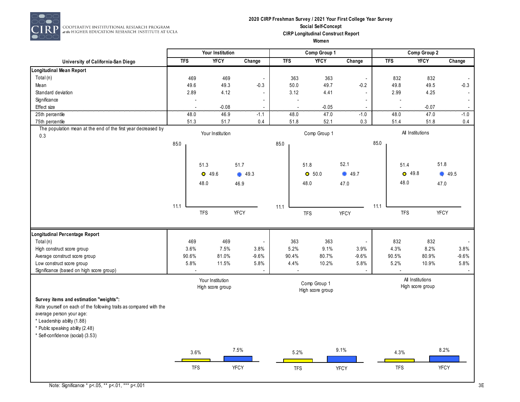

COOPERATIVE INSTITUTIONAL RESEARCH PROGRAM at the HIGHER EDUCATION RESEARCH INSTITUTE AT UCLA

#### **2020 CIRP Freshman Survey / 2021 Your First College Year Survey Social Self-Concept CIRP Longitudinal Construct Report Women**

|                                                                                                                                                                                                                                                  | Your Institution |                |                                      | Comp Group 1             |            |                |                                  | Comp Group 2             |      |                  |                                      |                    |
|--------------------------------------------------------------------------------------------------------------------------------------------------------------------------------------------------------------------------------------------------|------------------|----------------|--------------------------------------|--------------------------|------------|----------------|----------------------------------|--------------------------|------|------------------|--------------------------------------|--------------------|
| University of California-San Diego                                                                                                                                                                                                               | <b>TFS</b>       |                | <b>YFCY</b>                          | Change                   | <b>TFS</b> |                | <b>YFCY</b>                      | Change                   |      | <b>TFS</b>       | <b>YFCY</b>                          | Change             |
| Longitudinal Mean Report                                                                                                                                                                                                                         |                  |                |                                      |                          |            |                |                                  |                          |      |                  |                                      |                    |
| Total (n)                                                                                                                                                                                                                                        |                  | 469            | 469                                  | $\overline{\phantom{a}}$ |            | 363            | 363                              | $\blacksquare$           |      | 832              | 832                                  |                    |
| Mean                                                                                                                                                                                                                                             |                  | 49.6           | 49.3                                 | $-0.3$                   |            | 50.0           | 49.7                             | $-0.2$                   |      | 49.8             | 49.5                                 | $-0.3$             |
| Standard deviation                                                                                                                                                                                                                               |                  | 2.89           | 4.12                                 | $\overline{a}$           |            | 3.12           | 4.41                             | $\overline{\phantom{a}}$ |      | 2.99             | 4.25                                 | $\blacksquare$     |
| Significance                                                                                                                                                                                                                                     |                  |                |                                      | $\overline{\phantom{a}}$ |            | $\overline{a}$ |                                  | $\blacksquare$           |      |                  |                                      | $\sim$             |
| Effect size                                                                                                                                                                                                                                      |                  | $\overline{a}$ | $-0.08$                              |                          |            |                | $-0.05$                          |                          |      |                  | $-0.07$                              | $\overline{a}$<br> |
| 25th percentile                                                                                                                                                                                                                                  |                  | 48.0           | 46.9                                 | $-1.1$                   |            | 48.0           | 47.0                             | $-1.0$                   |      | 48.0             | 47.0                                 | $-1.0$             |
| 75th percentile                                                                                                                                                                                                                                  |                  | 51.3           | 51.7                                 | 0.4                      |            | 51.8           | 52.1                             | 0.3                      |      | 51.4             | 51.8                                 | 0.4                |
| The population mean at the end of the first year decreased by<br>0.3                                                                                                                                                                             |                  |                | Your Institution                     |                          |            |                | Comp Group 1                     |                          |      | All Institutions |                                      |                    |
|                                                                                                                                                                                                                                                  | 85.0             |                |                                      |                          | 85.0       |                |                                  |                          | 85.0 |                  |                                      |                    |
|                                                                                                                                                                                                                                                  |                  | 51.3           |                                      | 51.7                     |            |                | 51.8                             | 52.1                     |      | 51.4             |                                      | 51.8               |
|                                                                                                                                                                                                                                                  |                  |                | $O$ 49.6                             | 49.3                     |            |                | O 50.0                           | 49.7                     |      | $O$ 49.8         |                                      | 49.5               |
|                                                                                                                                                                                                                                                  |                  | 48.0           |                                      | 46.9                     |            |                | 48.0                             | 47.0                     |      | 48.0             |                                      | 47.0               |
|                                                                                                                                                                                                                                                  |                  |                |                                      |                          |            |                |                                  |                          |      |                  |                                      |                    |
|                                                                                                                                                                                                                                                  | 11.1             |                |                                      |                          | 11.1       |                |                                  |                          | 11.1 |                  |                                      |                    |
|                                                                                                                                                                                                                                                  |                  | <b>TFS</b>     |                                      | <b>YFCY</b>              |            |                | <b>TFS</b>                       | <b>YFCY</b>              |      | <b>TFS</b>       |                                      | <b>YFCY</b>        |
| Longitudinal Percentage Report                                                                                                                                                                                                                   |                  |                |                                      |                          |            |                |                                  |                          |      |                  |                                      |                    |
| Total (n)                                                                                                                                                                                                                                        |                  | 469            | 469                                  |                          |            | 363            | 363                              | $\overline{\phantom{a}}$ |      | 832              | 832                                  |                    |
| High construct score group                                                                                                                                                                                                                       |                  | 3.6%           | 7.5%                                 | 3.8%                     |            | 5.2%           | 9.1%                             | 3.9%                     |      | 4.3%             | 8.2%                                 | 3.8%               |
| Average construct score group                                                                                                                                                                                                                    |                  | 90.6%          | 81.0%                                | $-9.6%$                  |            | 90.4%          | 80.7%                            | $-9.6%$                  |      | 90.5%            | 80.9%                                | $-9.6%$            |
| Low construct score group                                                                                                                                                                                                                        |                  | 5.8%           | 11.5%                                | 5.8%                     |            | 4.4%           | 10.2%                            | 5.8%                     |      | 5.2%             | 10.9%                                | 5.8%               |
| Significance (based on high score group)                                                                                                                                                                                                         |                  |                |                                      |                          |            |                |                                  |                          |      |                  |                                      |                    |
|                                                                                                                                                                                                                                                  |                  |                | Your Institution<br>High score group |                          |            |                | Comp Group 1<br>High score group |                          |      |                  | All Institutions<br>High score group |                    |
| Survey items and estimation "weights":<br>Rate yourself on each of the following traits as compared with the<br>average person your age:<br>* Leadership ability (1.88)<br>* Public speaking ability (2.48)<br>* Self-confidence (social) (3.53) |                  |                |                                      |                          |            |                |                                  |                          |      |                  |                                      |                    |
|                                                                                                                                                                                                                                                  |                  | 3.6%           |                                      | 7.5%                     |            | 5.2%           |                                  | 9.1%                     |      | 4.3%             |                                      | 8.2%               |
|                                                                                                                                                                                                                                                  |                  | <b>TFS</b>     |                                      | <b>YFCY</b>              |            | <b>TFS</b>     |                                  | YFCY                     |      | <b>TFS</b>       |                                      | YFCY               |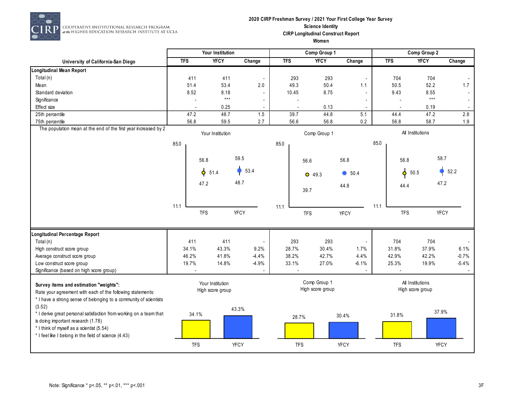

 $\overline{P}$  cooperative institutional research program<br> $\overline{P}$  at the Higher education research institute at ucla

#### **2020 CIRP Freshman Survey / 2021 Your First College Year Survey Science Identity CIRP Longitudinal Construct Report Women**

|                                                                                                                                                                                                                          |                | Your Institution                     |                                      |                          | Comp Group 1                     |             |            |                                      | Comp Group 2      |         |
|--------------------------------------------------------------------------------------------------------------------------------------------------------------------------------------------------------------------------|----------------|--------------------------------------|--------------------------------------|--------------------------|----------------------------------|-------------|------------|--------------------------------------|-------------------|---------|
| University of California-San Diego                                                                                                                                                                                       | <b>TFS</b>     | <b>YFCY</b>                          | Change                               | <b>TFS</b>               | <b>YFCY</b>                      | Change      | <b>TFS</b> |                                      | <b>YFCY</b>       | Change  |
| Longitudinal Mean Report                                                                                                                                                                                                 |                |                                      |                                      |                          |                                  |             |            |                                      |                   |         |
| Total $(n)$                                                                                                                                                                                                              | 411            | 411                                  |                                      | 293                      | 293                              |             |            | 704                                  | 704               |         |
| Mean                                                                                                                                                                                                                     | 51.4           | 53.4                                 | 2.0                                  | 49.3                     | 50.4                             | 1.1         |            | 50.5                                 | 52.2              | 1.7     |
| Standard deviation                                                                                                                                                                                                       | 8.52           | 8.18                                 |                                      | 10.45                    | 8.75                             |             |            | 9.43                                 | 8.55              |         |
| Significance                                                                                                                                                                                                             | $\overline{a}$ | $\star\star\star$                    | $\overline{\phantom{a}}$             |                          |                                  |             |            |                                      | $\star\star\star$ |         |
| Effect size                                                                                                                                                                                                              |                | 0.25                                 | $\overline{\phantom{a}}$<br>$\cdots$ | $\overline{\phantom{a}}$ | 0.13                             |             |            |                                      | 0.19              |         |
| 25th percentile                                                                                                                                                                                                          | 47.2           | 48.7                                 | 1.5                                  | 39.7                     | 44.8                             | 5.1         |            | 44.4                                 | 47.2              | 2.8     |
| 75th percentile                                                                                                                                                                                                          | 56.8           | 59.5                                 | 2.7                                  | 56.6                     | 56.8                             | 0.2         |            | 56.8                                 | 58.7              | 1.9     |
| The population mean at the end of the first year increased by 2                                                                                                                                                          |                | Your Institution                     |                                      |                          | Comp Group 1                     |             |            | All Institutions                     |                   |         |
|                                                                                                                                                                                                                          | 85.0           |                                      |                                      | 85.0                     |                                  |             | 85.0       |                                      |                   |         |
|                                                                                                                                                                                                                          |                | 56.8                                 | 59.5                                 |                          | 56.6                             | 56.8        |            | 56.8                                 | 58.7              |         |
|                                                                                                                                                                                                                          |                | $\phi$ 51.4                          | 53.4                                 |                          |                                  | 650.4       |            | $\phi$<br>50.5                       |                   | 52.2    |
|                                                                                                                                                                                                                          |                |                                      |                                      |                          | $O$ 49.3                         |             |            |                                      |                   |         |
|                                                                                                                                                                                                                          |                | 47.2                                 | 48.7                                 |                          | 39.7                             | 44.8        |            | 44.4                                 | 47.2              |         |
|                                                                                                                                                                                                                          |                |                                      |                                      |                          |                                  |             |            |                                      |                   |         |
|                                                                                                                                                                                                                          | 11.1           | <b>TFS</b>                           | <b>YFCY</b>                          | 11.1                     | <b>TFS</b>                       | <b>YFCY</b> | 11.1       | <b>TFS</b>                           | <b>YFCY</b>       |         |
| ongitudinal Percentage Report                                                                                                                                                                                            |                |                                      |                                      |                          |                                  |             |            |                                      |                   |         |
| Total (n)                                                                                                                                                                                                                | 411            | 411                                  |                                      | 293                      | 293                              |             |            | 704                                  | 704               |         |
| High construct score group                                                                                                                                                                                               | 34.1%          | 43.3%                                | 9.2%                                 | 28.7%                    | 30.4%                            | 1.7%        |            | 31.8%                                | 37.9%             | 6.1%    |
| Average construct score group                                                                                                                                                                                            | 46.2%          | 41.8%                                | $-4.4%$                              | 38.2%                    | 42.7%                            | 4.4%        |            | 42.9%                                | 42.2%             | $-0.7%$ |
| Low construct score group                                                                                                                                                                                                | 19.7%          | 14.8%                                | -4.9%                                | 33.1%                    | 27.0%                            | $-6.1%$     |            | 25.3%                                | 19.9%             | $-5.4%$ |
| Significance (based on high score group)                                                                                                                                                                                 |                |                                      |                                      |                          |                                  |             |            |                                      |                   |         |
| Survey items and estimation "weights":<br>Rate your agreement with each of the following statements:<br>* I have a strong sense of belonging to a community of scientists                                                |                | Your Institution<br>High score group |                                      |                          | Comp Group 1<br>High score group |             |            | All Institutions<br>High score group |                   |         |
| (3.52)<br>* I derive great personal satisfaction from working on a team that<br>is doing important research (1.78)<br>* I think of myself as a scientist (5.54)<br>* I feel like I belong in the field of science (4.43) | 34.1%          |                                      | 43.3%                                | 28.7%                    |                                  | 30.4%       |            | 31.8%                                | 37.9%             |         |
|                                                                                                                                                                                                                          | <b>TFS</b>     |                                      | <b>YFCY</b>                          | <b>TFS</b>               |                                  | <b>YFCY</b> |            | <b>TFS</b>                           | <b>YFCY</b>       |         |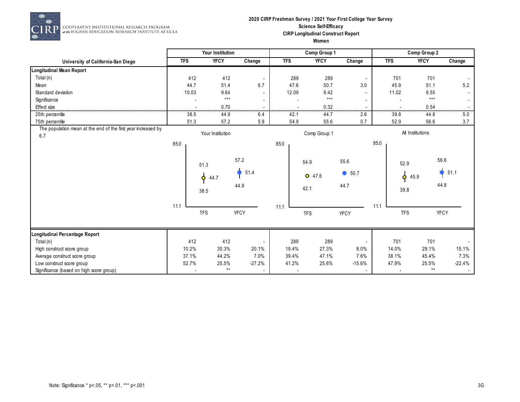

#### **2020 CIRP Freshman Survey / 2021 Your First College Year Survey Science Self-Efficacy CIRP Longitudinal Construct Report Women**

|                                                                      |            | Your Institution                                 |                          |            | Comp Group 1             |                                |            | Comp Group 2                      |                      |
|----------------------------------------------------------------------|------------|--------------------------------------------------|--------------------------|------------|--------------------------|--------------------------------|------------|-----------------------------------|----------------------|
| University of California-San Diego                                   | <b>TFS</b> | <b>YFCY</b>                                      | Change                   | <b>TFS</b> | <b>YFCY</b>              | Change                         | <b>TFS</b> | <b>YFCY</b>                       | Change               |
| Longitudinal Mean Report                                             |            |                                                  |                          |            |                          |                                |            |                                   |                      |
| Total (n)                                                            | 412        | 412                                              |                          | 289        | 289                      |                                | 701        | 701                               |                      |
| Mean                                                                 | 44.7       | 51.4                                             | 6.7                      | 47.6       | 50.7                     | 3.0                            | 45.9       | 51.1                              | 5.2                  |
| Standard deviation                                                   | 10.03      | 9.64                                             |                          | 12.09      | 9.42                     |                                | 11.02      | 9.55                              |                      |
| Significance                                                         |            | $***$                                            |                          |            | $***$                    |                                |            | $***$                             |                      |
| Effect size                                                          |            | 0.70                                             |                          |            | $0.32\,$                 |                                |            | $0.54\,$                          |                      |
| 25th percentile                                                      | 38.5       | 44.9                                             | 6.4                      | 42.1       | 44.7                     | <br>2.6                        | 39.8       | 44.8                              | 5.0                  |
| 75th percentile                                                      | 51.3       | 57.2                                             | 5.9                      | 54.9       | 55.6                     | 0.7                            | 52.9       | 56.6                              | 3.7                  |
| The population mean at the end of the first year increased by<br>6.7 |            | Your Institution                                 |                          |            | Comp Group 1             |                                |            | All Institutions                  |                      |
|                                                                      | 85.0       |                                                  |                          | 85.0       |                          |                                | 85.0       |                                   |                      |
|                                                                      | 11.1       | 51.3<br>$\ddot{\mathbf{\Theta}}$<br>44.7<br>38.5 | 57.2<br>51.4<br>44.9     | 11.1       | 54.9<br>$O$ 47.6<br>42.1 | 55.6<br>$\bullet$ 50.7<br>44.7 | 11.1       | 52.9<br>45.9<br>$\bullet$<br>39.8 | 56.6<br>51.1<br>44.8 |
|                                                                      |            | <b>TFS</b>                                       | <b>YFCY</b>              |            | <b>TFS</b>               | <b>YFCY</b>                    |            | <b>TFS</b>                        | <b>YFCY</b>          |
| Longitudinal Percentage Report                                       |            |                                                  |                          |            |                          |                                |            |                                   |                      |
| Total (n)                                                            | 412        | 412                                              |                          | 289        | 289                      |                                | 701        | 701                               |                      |
| High construct score group                                           | 10.2%      | 30.3%                                            | 20.1%                    | 19.4%      | 27.3%                    | 8.0%                           | 14.0%      | 29.1%                             | 15.1%                |
| Average construct score group                                        | 37.1%      | 44.2%                                            | 7.0%                     | 39.4%      | 47.1%                    | 7.6%                           | 38.1%      | 45.4%                             | 7.3%                 |
| Low construct score group                                            | 52.7%      | 25.5%                                            | $-27.2%$                 | 41.2%      | 25.6%                    | $-15.6%$                       | 47.9%      | 25.5%                             | $-22.4%$             |
| Significance (based on high score group)                             |            | $\star\star$                                     | $\overline{\phantom{a}}$ |            |                          |                                |            | $\star\star$                      |                      |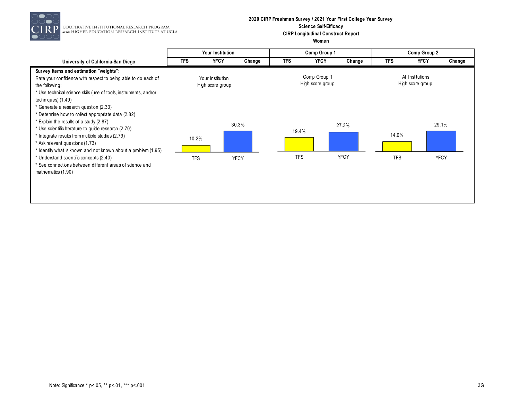

COOPERATIVE INSTITUTIONAL RESEARCH PROGRAM<br>at the HIGHER EDUCATION RESEARCH INSTITUTE AT UCLA

#### **2020 CIRP Freshman Survey / 2021 Your First College Year Survey Science Self-Efficacy CIRP Longitudinal Construct Report Women**

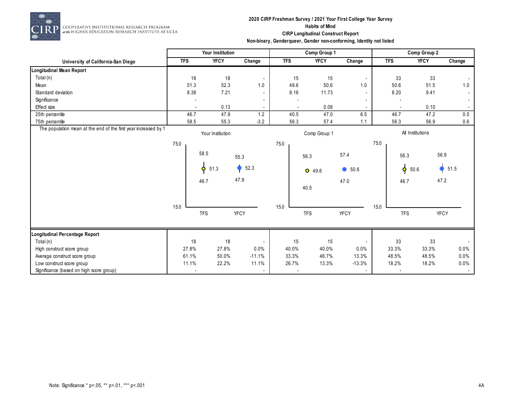

 $\begin{array}{c} \textbf{COOPERATIVE INSTITUTIONAL RESLARCH PROGRAM} \\ \textit{at the HIGHER EDUCATION RESLARCH INSTITUTE AT UCLA} \end{array}$ 

## **2020 CIRP Freshman Survey / 2021 Your First College Year Survey Habits of Mind CIRP Longitudinal Construct Report**

|                                                                 |            | Your Institution  |                          |            | Comp Group 1 |                          |      |                          | Comp Group 2     |                          |
|-----------------------------------------------------------------|------------|-------------------|--------------------------|------------|--------------|--------------------------|------|--------------------------|------------------|--------------------------|
| University of California-San Diego                              | <b>TFS</b> | <b>YFCY</b>       | Change                   | <b>TFS</b> | <b>YFCY</b>  | Change                   |      | <b>TFS</b>               | <b>YFCY</b>      | Change                   |
| Longitudinal Mean Report                                        |            |                   |                          |            |              |                          |      |                          |                  |                          |
| Total (n)                                                       | 18         | 18                |                          | 15         | 15           |                          |      | 33                       | 33               |                          |
| Mean                                                            | 51.3       | 52.3              | 1.0                      | 49.6       | 50.6         | 1.0                      |      | 50.6                     | 51.5             | 1.0                      |
| Standard deviation                                              | 8.38       | 7.21              |                          | 8.16       | 11.73        |                          |      | 8.20                     | 9.41             | $\overline{\phantom{a}}$ |
| Significance                                                    |            |                   |                          |            |              |                          |      |                          |                  | $\sim$                   |
| Effect size                                                     |            | 0.13              |                          |            | 0.08         | .                        |      |                          | 0.10             |                          |
| 25th percentile                                                 | 46.7       | 47.9              | 1.2                      | 40.5       | 47.0         | 6.5                      |      | 46.7                     | 47.2             | 0.5                      |
| 75th percentile                                                 | 58.5       | 55.3              | $-3.2$                   | 56.3       | 57.4         | 1.1                      |      | 56.3                     | 56.9             | 0.6                      |
| The population mean at the end of the first year increased by 1 |            | Your Institution  |                          |            | Comp Group 1 |                          |      |                          | All Institutions |                          |
|                                                                 | 75.0       |                   |                          | 75.0       |              |                          | 75.0 |                          |                  |                          |
|                                                                 |            | 58.5              | 55.3                     |            | 56.3         | 57.4                     |      | 56.3                     |                  | 56.9                     |
|                                                                 |            | 51.3<br>$\bullet$ | 52.3                     |            | $O$ 49.6     | 650.6                    |      | $\phi$ 50.6              |                  | 51.5                     |
|                                                                 |            | 46.7              | 47.9                     |            | 40.5         | 47.0                     |      | 46.7                     |                  | 47.2                     |
|                                                                 | 15.0       |                   |                          | 15.0       |              |                          | 15.0 |                          |                  |                          |
|                                                                 |            | <b>TFS</b>        | <b>YFCY</b>              |            | <b>TFS</b>   | <b>YFCY</b>              |      | <b>TFS</b>               |                  | <b>YFCY</b>              |
| Longitudinal Percentage Report                                  |            |                   |                          |            |              |                          |      |                          |                  |                          |
| Total (n)                                                       | 18         | 18                | $\overline{\phantom{a}}$ | 15         | 15           | $\overline{\phantom{a}}$ |      | 33                       | 33               |                          |
| High construct score group                                      | 27.8%      | 27.8%             | 0.0%                     | 40.0%      | 40.0%        | 0.0%                     |      | 33.3%                    | 33.3%            | 0.0%                     |
| Average construct score group                                   | 61.1%      | 50.0%             | $-11.1%$                 | 33.3%      | 46.7%        | 13.3%                    |      | 48.5%                    | 48.5%            | 0.0%                     |
| Low construct score group                                       | 11.1%      | 22.2%             | 11.1%                    | 26.7%      | 13.3%        | $-13.3%$                 |      | 18.2%                    | 18.2%            | 0.0%                     |
| Significance (based on high score group)                        |            |                   | $\blacksquare$           |            |              | $\overline{\phantom{a}}$ |      | $\overline{\phantom{a}}$ |                  | $\sim$                   |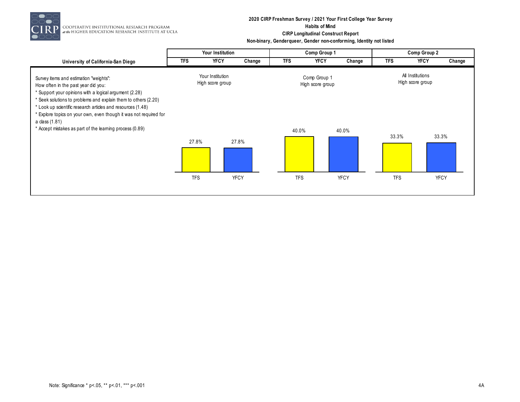

COOPERATIVE INSTITUTIONAL RESEARCH PROGRAM<br>at the HIGHER EDUCATION RESEARCH INSTITUTE AT UCLA

## **2020 CIRP Freshman Survey / 2021 Your First College Year Survey Habits of Mind CIRP Longitudinal Construct Report**

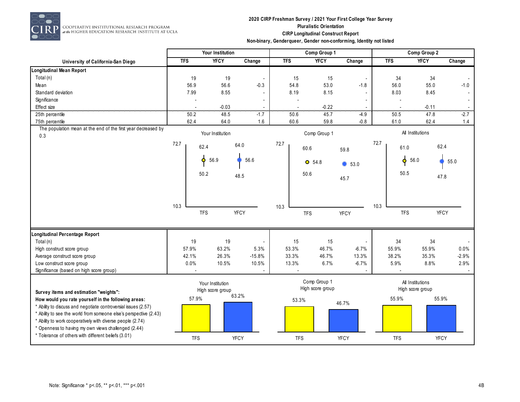

## **2020 CIRP Freshman Survey / 2021 Your First College Year Survey Pluralistic Orientation CIRP Longitudinal Construct Report**

|                                                                      |            | Your Institution                     |                          |            | Comp Group 1                     |             |            | Comp Group 2                         |             |
|----------------------------------------------------------------------|------------|--------------------------------------|--------------------------|------------|----------------------------------|-------------|------------|--------------------------------------|-------------|
| University of California-San Diego                                   | <b>TFS</b> | <b>YFCY</b>                          | Change                   | <b>TFS</b> | <b>YFCY</b>                      | Change      | <b>TFS</b> | <b>YFCY</b>                          | Change      |
| <b>Longitudinal Mean Report</b>                                      |            |                                      |                          |            |                                  |             |            |                                      |             |
| Total (n)                                                            | 19         | 19                                   | $\overline{\phantom{a}}$ | 15         | 15                               |             | 34         | 34                                   |             |
| Mean                                                                 | 56.9       | 56.6                                 | $-0.3$                   | 54.8       | 53.0                             | $-1.8$      | 56.0       | 55.0                                 | $-1.0$      |
| Standard deviation                                                   | 7.99       | 8.55                                 |                          | 8.19       | 8.15                             |             | 8.03       | 8.45                                 |             |
| Significance                                                         |            |                                      |                          |            |                                  |             |            |                                      |             |
| Effect size                                                          |            | $-0.03$                              |                          |            | $-0.22$                          |             | .          | $-0.11$                              | .           |
| 25th percentile                                                      | 50.2       | 48.5                                 | $-1.7$                   | 50.6       | 45.7                             | $-4.9$      | 50.5       | 47.8                                 | $-2.7$      |
| 75th percentile                                                      | 62.4       | 64.0                                 | 1.6                      | 60.6       | 59.8                             | $-0.8$      | 61.0       | 62.4                                 | 1.4         |
| The population mean at the end of the first year decreased by<br>0.3 |            | Your Institution                     |                          |            | Comp Group 1                     |             |            | All Institutions                     |             |
|                                                                      | 72.7       | 62.4                                 | 64.0                     | 72.7       | 60.6                             | 59.8        | 72.7       | 61.0                                 | 62.4        |
|                                                                      |            | Ó<br>56.9                            | 56.6                     |            | $O$ 54.8                         | 653.0       |            | $\phi$<br>56.0                       | 55.0        |
|                                                                      |            | 50.2                                 | 48.5                     |            | 50.6                             | 45.7        |            | 50.5                                 | 47.8        |
|                                                                      |            |                                      |                          |            |                                  |             |            |                                      |             |
|                                                                      | 10.3       |                                      |                          | 10.3       |                                  |             | 10.3       |                                      |             |
|                                                                      |            | <b>TFS</b>                           | YFCY                     |            | <b>TFS</b>                       | <b>YFCY</b> |            | <b>TFS</b>                           | <b>YFCY</b> |
| Longitudinal Percentage Report                                       |            |                                      |                          |            |                                  |             |            |                                      |             |
| Total (n)                                                            | 19         | 19                                   |                          | 15         | 15                               |             | 34         | 34                                   |             |
| High construct score group                                           | 57.9%      | 63.2%                                | 5.3%                     | 53.3%      | 46.7%                            | $-6.7%$     | 55.9%      | 55.9%                                | 0.0%        |
| Average construct score group                                        | 42.1%      | 26.3%                                | $-15.8%$                 | 33.3%      | 46.7%                            | 13.3%       | 38.2%      | 35.3%                                | $-2.9%$     |
| Low construct score group                                            | 0.0%       | 10.5%                                | 10.5%                    | 13.3%      | 6.7%                             | $-6.7%$     | 5.9%       | 8.8%                                 | 2.9%        |
| Significance (based on high score group)                             |            |                                      |                          |            |                                  |             |            |                                      |             |
| Survey items and estimation "weights":                               |            | Your Institution<br>High score group |                          |            | Comp Group 1<br>High score group |             |            | All Institutions<br>High score group |             |
| How would you rate yourself in the following areas:                  | 57.9%      |                                      | 63.2%                    | 53.3%      |                                  |             | 55.9%      |                                      | 55.9%       |
| * Ability to discuss and negotiate controversial issues (2.57)       |            |                                      |                          |            |                                  | 46.7%       |            |                                      |             |
| * Ability to see the world from someone else's perspective (2.43)    |            |                                      |                          |            |                                  |             |            |                                      |             |
| * Ability to work cooperatively with diverse people (2.74)           |            |                                      |                          |            |                                  |             |            |                                      |             |
| * Openness to having my own views challenged (2.44)                  |            |                                      |                          |            |                                  |             |            |                                      |             |
| * Tolerance of others with different beliefs (3.01)                  | <b>TFS</b> |                                      | <b>YFCY</b>              | <b>TFS</b> |                                  | <b>YFCY</b> | <b>TFS</b> |                                      | <b>YFCY</b> |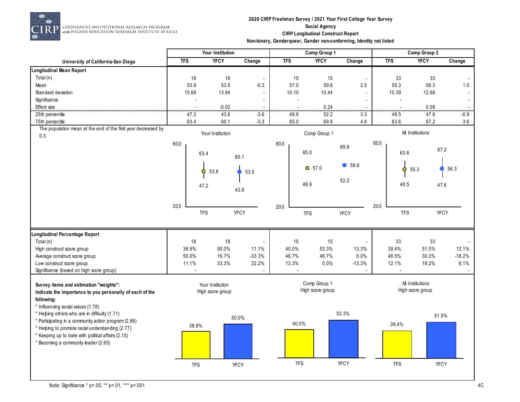

COOPERATIVE INSTITUTIONAL RESEARCH PROGRAM<br>at the HIGHER EDUCATION RESEARCH INSTITUTE AT UCLA

## **2020 CIRP Freshman Survey / 2021 Your First College Year Survey Social Agency CIRP Longitudinal Construct Report**

|                                                                      | Your Institution |                  |                |                          | Comp Group 1     |                          | Comp Group 2 |                   |                    |  |
|----------------------------------------------------------------------|------------------|------------------|----------------|--------------------------|------------------|--------------------------|--------------|-------------------|--------------------|--|
| University of California-San Diego                                   | <b>TFS</b>       | <b>YFCY</b>      | Change         | <b>TFS</b>               | <b>YFCY</b>      | Change                   | <b>TFS</b>   | <b>YFCY</b>       | Change             |  |
| <b>Longitudinal Mean Report</b>                                      |                  |                  |                |                          |                  |                          |              |                   |                    |  |
| Total (n)                                                            | 18               | 18               | $\blacksquare$ | 15                       | 15               | $\overline{\phantom{a}}$ | 33           | 33                |                    |  |
| Mean                                                                 | 53.8             | 53.5             | $-0.3$         | 57.0                     | 59.6             | $2.5\,$                  | 55.3         | 56.3              | 1.0                |  |
| Standard deviation                                                   | 10.69            | 13.94            | $\blacksquare$ | 10.10                    | 10.44            |                          | 10.39        | 12.66             | $\blacksquare$     |  |
| Significance                                                         |                  |                  |                | $\overline{\phantom{a}}$ |                  |                          |              |                   | $\sim$             |  |
| Effect size                                                          |                  | $-0.02$          |                | $\overline{\phantom{a}}$ | 0.24             |                          |              | 0.08              | $\blacksquare$<br> |  |
| 25th percentile                                                      | 47.2             | 43.6             | $-3.6$         | 48.9                     | 52.2             | 3.3                      | 48.5         | 47.6              | $-0.9$             |  |
| 75th percentile                                                      | 63.4             | 60.1             | $-3.3$         | 65.0                     | 69.9             | 4.9                      | 63.6         | 67.2              | 3.6                |  |
| The population mean at the end of the first year decreased by<br>0.3 |                  | Your Institution |                |                          | Comp Group 1     |                          |              | All Institutions  |                    |  |
|                                                                      | 80.0             |                  |                | 80.0                     |                  | 69.9                     | 80.0         |                   |                    |  |
|                                                                      |                  | 63.4             |                |                          | 65.0             |                          |              | 63.6              | 67.2               |  |
|                                                                      |                  |                  | 60.1           |                          |                  |                          |              |                   |                    |  |
|                                                                      |                  | Ó<br>53.8        | 53.5           |                          | $O$ 57.0         | 59.6                     |              | $\bullet$<br>55.3 | 56.3               |  |
|                                                                      |                  |                  |                |                          | 48.9             | 52.2                     |              | 48.5              | 47.6               |  |
|                                                                      |                  | 47.2             | 43.6           |                          |                  |                          |              |                   |                    |  |
|                                                                      | 20.0             |                  |                | 20.0                     |                  |                          | 20.0         |                   |                    |  |
|                                                                      |                  | <b>TFS</b>       | YFCY           |                          | <b>TFS</b>       | <b>YFCY</b>              |              | <b>TFS</b>        | <b>YFCY</b>        |  |
|                                                                      |                  |                  |                |                          |                  |                          |              |                   |                    |  |
| <b>Longitudinal Percentage Report</b>                                |                  |                  |                |                          |                  |                          |              |                   |                    |  |
| Total (n)                                                            | 18               | 18               | $\blacksquare$ | 15                       | 15               | $\overline{a}$           | 33           | 33                |                    |  |
| High construct score group                                           | 38.9%            | 50.0%            | 11.1%          | 40.0%                    | 53.3%            | 13.3%                    | 39.4%        | 51.5%             | 12.1%              |  |
| Average construct score group                                        | 50.0%            | 16.7%            | $-33.3%$       | 46.7%                    | 46.7%            | 0.0%                     | 48.5%        | 30.3%             | $-18.2%$           |  |
| Low construct score group                                            | 11.1%            | 33.3%            | 22.2%          | 13.3%                    | 0.0%             | $-13.3%$                 | 12.1%        | 18.2%             | 6.1%               |  |
| Significance (based on high score group)                             |                  |                  |                |                          |                  |                          |              |                   |                    |  |
| Survey items and estimation "weights":                               |                  | Your Institution |                |                          | Comp Group 1     |                          |              | All Institutions  |                    |  |
| Indicate the importance to you personally of each of the             |                  | High score group |                |                          | High score group |                          |              | High score group  |                    |  |
| following:<br>* Influencing social values (1.78)                     |                  |                  |                |                          |                  |                          |              |                   |                    |  |
| * Helping others who are in difficulty (1.71)                        |                  |                  |                |                          |                  | 53.3%                    |              |                   |                    |  |
| * Participating in a community action program (2.86)                 |                  |                  | 50.0%          |                          |                  |                          |              | 51.5%             |                    |  |
| * Helping to promote racial understanding (2.77)                     | 38.9%            |                  |                | 40.0%                    |                  |                          | 39.4%        |                   |                    |  |
| * Keeping up to date with political affairs (2.15)                   |                  |                  |                |                          |                  |                          |              |                   |                    |  |
| * Becoming a community leader (2.65)                                 |                  |                  |                |                          |                  |                          |              |                   |                    |  |
|                                                                      |                  |                  |                |                          |                  |                          |              |                   |                    |  |
|                                                                      |                  |                  |                |                          |                  |                          |              |                   |                    |  |
|                                                                      | <b>TFS</b>       |                  | <b>YFCY</b>    | <b>TFS</b>               |                  | <b>YFCY</b>              | <b>TFS</b>   | YFCY              |                    |  |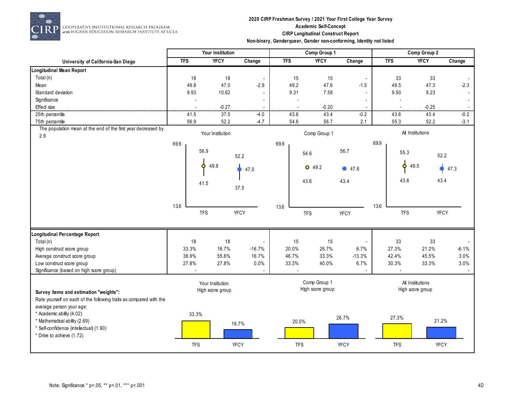

RP COOPERATIVE INSTITUTIONAL RESEARCH PROGRAM<br>at the HIGHER EDUCATION RESEARCH INSTITUTE AT UCLA

## **2020 CIRP Freshman Survey / 2021 Your First College Year Survey Academic Self-Concept CIRP Longitudinal Construct Report**

| Non-binary, Genderqueer, Gender non-conforming, Identity not listed |  |  |  |  |
|---------------------------------------------------------------------|--|--|--|--|
|---------------------------------------------------------------------|--|--|--|--|

|                                                                    |                | Your Institution |             |                | Comp Group 1     |                          |            | Comp Group 2     |             |
|--------------------------------------------------------------------|----------------|------------------|-------------|----------------|------------------|--------------------------|------------|------------------|-------------|
| University of California-San Diego                                 | <b>TFS</b>     | <b>YFCY</b>      | Change      | <b>TFS</b>     | <b>YFCY</b>      | Change                   | <b>TFS</b> | <b>YFCY</b>      | Change      |
| <b>Longitudinal Mean Report</b>                                    |                |                  |             |                |                  |                          |            |                  |             |
| Total (n)                                                          | 18             | 18               |             | 15             | 15               | $\overline{\phantom{a}}$ | 33         | 33               |             |
| Mean                                                               | 49.8           | 47.0             | $-2.9$      | 49.2           | 47.6             | $-1.5$                   | 49.5       | 47.3             | $-2.3$      |
| Standard deviation                                                 | 9.93           | 10.62            |             | 9.31           | 7.58             |                          | 9.50       | 9.23             |             |
| Significance                                                       | $\blacksquare$ |                  |             | $\overline{a}$ |                  |                          |            |                  |             |
| Effect size                                                        |                | $-0.27$          |             |                | $-0.20$          |                          |            | $-0.25$          |             |
| 25th percentile                                                    | 41.5           | 37.5             | -4.0        | 43.6           | 43.4             | $-0.2$                   | 43.6       | 43.4             | $-0.2$      |
| 75th percentile                                                    | 56.9           | 52.2             | $-4.7$      | 54.6           | 56.7             | 2.1                      | 55.3       | 52.2             | $-3.1$      |
| The population mean at the end of the first year decreased by      |                | Your Institution |             |                | Comp Group 1     |                          |            | All Institutions |             |
| 2.9                                                                |                |                  |             |                |                  |                          |            |                  |             |
|                                                                    | 69.9           |                  |             | 69.9           |                  |                          | 69.9       |                  |             |
|                                                                    |                | 56.9             | 52.2        |                | 54.6             | 56.7                     |            | 55.3             | 52.2        |
|                                                                    |                |                  |             |                |                  |                          |            |                  |             |
|                                                                    |                | 49.8<br>Ο        | 47.0        |                | $O$ 49.2         | 47.6                     |            | 49.5<br>Ó        | 47.3        |
|                                                                    |                |                  |             |                | 43.6             | 43.4                     |            | 43.6             | 43.4        |
|                                                                    |                | 41.5             | 37.5        |                |                  |                          |            |                  |             |
|                                                                    |                |                  |             |                |                  |                          |            |                  |             |
|                                                                    |                |                  |             |                |                  |                          |            |                  |             |
|                                                                    | 13.6           |                  |             | 13.6           |                  |                          | 13.6       |                  |             |
|                                                                    |                | <b>TFS</b>       | <b>YFCY</b> |                | <b>TFS</b>       | <b>YFCY</b>              |            | <b>TFS</b>       | <b>YFCY</b> |
|                                                                    |                |                  |             |                |                  |                          |            |                  |             |
| Longitudinal Percentage Report                                     |                |                  |             |                |                  |                          |            |                  |             |
| Total (n)                                                          | 18             | 18               |             | 15             | 15               |                          | 33         | 33               |             |
| High construct score group                                         | 33.3%          | 16.7%            | $-16.7%$    | 20.0%          | 26.7%            | 6.7%                     | 27.3%      | 21.2%            | $-6.1%$     |
| Average construct score group                                      | 38.9%          | 55.6%            | 16.7%       | 46.7%          | 33.3%            | $-13.3%$                 | 42.4%      | 45.5%            | 3.0%        |
| Low construct score group                                          | 27.8%          | 27.8%            | 0.0%        | 33.3%          | 40.0%            | 6.7%                     | 30.3%      | 33.3%            | 3.0%        |
| Significance (based on high score group)                           |                |                  |             |                |                  |                          |            |                  |             |
|                                                                    |                |                  |             |                | Comp Group 1     |                          |            | All Institutions |             |
|                                                                    |                | Your Institution |             |                | High score group |                          |            | High score group |             |
| Survey items and estimation "weights":                             |                | High score group |             |                |                  |                          |            |                  |             |
| Rate yourself on each of the following traits as compared with the |                |                  |             |                |                  |                          |            |                  |             |
| average person your age:                                           |                |                  |             |                |                  |                          |            |                  |             |
| * Academic ability (4.02)                                          | 33.3%          |                  |             |                |                  | 26.7%                    | 27.3%      |                  |             |
| * Mathematical ability (2.69)                                      |                |                  | 16.7%       | 20.0%          |                  |                          |            |                  | 21.2%       |
| * Self-confidence (intellectual) (1.90)                            |                |                  |             |                |                  |                          |            |                  |             |
| * Drive to achieve (1.72)                                          |                |                  |             |                |                  |                          |            |                  |             |
|                                                                    | <b>TFS</b>     |                  | <b>YFCY</b> | <b>TFS</b>     |                  | <b>YFCY</b>              | <b>TFS</b> |                  | YFCY        |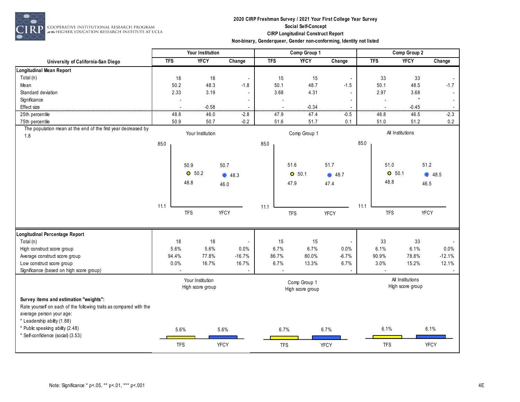

COOPERATIVE INSTITUTIONAL RESEARCH PROGRAM<br>#the HIGHER EDUCATION RESEARCH INSTITUTE AT UCLA

## **2020 CIRP Freshman Survey / 2021 Your First College Year Survey Social Self-Concept CIRP Longitudinal Construct Report**

|                                    | Non-binary, Gendergueer, Gender non-conforming, Identity not listed |             |        |            |              |        |              |      |        |  |  |
|------------------------------------|---------------------------------------------------------------------|-------------|--------|------------|--------------|--------|--------------|------|--------|--|--|
|                                    | <b>Your Institution</b>                                             |             |        |            | Comp Group 1 |        | Comp Group 2 |      |        |  |  |
| University of California-San Diego | <b>TFS</b>                                                          | <b>YFCY</b> | Change | <b>TFS</b> | <b>YFCY</b>  | Change | TFS          | YFCY | Change |  |  |
| <i>l</i> lean Report               |                                                                     |             |        |            |              |        |              |      |        |  |  |

| <b>Longitudinal Mean Report</b>                                    |                  |            |                  |                                  |      |              |            |                          |      |                  |                  |                          |
|--------------------------------------------------------------------|------------------|------------|------------------|----------------------------------|------|--------------|------------|--------------------------|------|------------------|------------------|--------------------------|
| Total $(n)$                                                        |                  | 18         | 18               | $\overline{\phantom{a}}$         |      | 15           | 15         |                          |      | 33               | 33               |                          |
| Mean                                                               |                  | 50.2       | 48.3             | $-1.8$                           |      | 50.1         | 48.7       | $-1.5$                   |      | 50.1             | 48.5             | $-1.7$                   |
| Standard deviation                                                 |                  | 2.33       | 3.19             | $\overline{\phantom{a}}$         |      | 3.68         | 4.31       |                          |      | 2.97             | 3.68             |                          |
| Significance                                                       |                  |            |                  | $\overline{\phantom{a}}$         |      |              |            | $\overline{\phantom{a}}$ |      |                  | $\star$          | $\overline{\phantom{a}}$ |
| Effect size                                                        |                  | .          | $-0.58$          |                                  |      | .            | $-0.34$    |                          |      | --------         | $-0.45$          |                          |
| 25th percentile                                                    |                  | 48.8       | 46.0             | $-2.8$                           |      | 47.9         | 47.4       | $-0.5$                   |      | 48.8             | 46.5             | $-2.3$                   |
| 75th percentile                                                    |                  | 50.9       | 50.7             | $-0.2$                           |      | 51.6         | 51.7       | 0.1                      |      | 51.0             | 51.2             | 0.2                      |
| The population mean at the end of the first year decreased by      |                  |            | Your Institution |                                  |      | Comp Group 1 |            |                          |      | All Institutions |                  |                          |
| 1.8                                                                |                  |            |                  |                                  |      |              |            |                          |      |                  |                  |                          |
|                                                                    | 85.0             |            |                  |                                  | 85.0 |              |            |                          | 85.0 |                  |                  |                          |
|                                                                    |                  |            |                  |                                  |      |              |            |                          |      |                  |                  |                          |
|                                                                    |                  |            | 50.9             | 50.7                             |      |              | 51.6       | 51.7                     |      | 51.0             | 51.2             |                          |
|                                                                    |                  |            | O 50.2           |                                  |      |              |            |                          |      | O 50.1           |                  |                          |
|                                                                    |                  |            |                  | 48.3                             |      |              | $O$ 50.1   | <b>48.7</b>              |      |                  |                  | 48.5                     |
|                                                                    |                  |            | 48.8             | 46.0                             |      |              | 47.9       | 47.4                     |      | 48.8             | 46.5             |                          |
|                                                                    |                  |            |                  |                                  |      |              |            |                          |      |                  |                  |                          |
|                                                                    |                  |            |                  |                                  |      |              |            |                          |      |                  |                  |                          |
|                                                                    | 11.1             |            |                  |                                  | 11.1 |              |            |                          | 11.1 |                  |                  |                          |
|                                                                    |                  |            | <b>TFS</b>       | <b>YFCY</b>                      |      |              | <b>TFS</b> | <b>YFCY</b>              |      | <b>TFS</b>       | <b>YFCY</b>      |                          |
|                                                                    |                  |            |                  |                                  |      |              |            |                          |      |                  |                  |                          |
| Longitudinal Percentage Report                                     |                  |            |                  |                                  |      |              |            |                          |      |                  |                  |                          |
| Total $(n)$                                                        |                  | 18         | 18               | $\overline{\phantom{a}}$         |      | 15           | 15         |                          |      | 33               | 33               |                          |
| High construct score group                                         |                  | 5.6%       | 5.6%             | 0.0%                             |      | 6.7%         | 6.7%       | 0.0%                     |      | 6.1%             | 6.1%             | 0.0%                     |
| Average construct score group                                      |                  | 94.4%      | 77.8%            | $-16.7%$                         |      | 86.7%        | 80.0%      | $-6.7%$                  |      | 90.9%            | 78.8%            | $-12.1%$                 |
| Low construct score group                                          |                  | 0.0%       | 16.7%            | 16.7%                            |      | 6.7%         | 13.3%      | 6.7%                     |      | 3.0%             | 15.2%            | 12.1%                    |
| Significance (based on high score group)                           |                  |            |                  |                                  |      |              |            |                          |      |                  |                  |                          |
|                                                                    |                  |            | Your Institution |                                  |      |              |            |                          |      |                  | All Institutions |                          |
|                                                                    | High score group |            |                  | Comp Group 1<br>High score group |      |              |            | High score group         |      |                  |                  |                          |
|                                                                    |                  |            |                  |                                  |      |              |            |                          |      |                  |                  |                          |
| Survey items and estimation "weights":                             |                  |            |                  |                                  |      |              |            |                          |      |                  |                  |                          |
| Rate yourself on each of the following traits as compared with the |                  |            |                  |                                  |      |              |            |                          |      |                  |                  |                          |
| average person your age:                                           |                  |            |                  |                                  |      |              |            |                          |      |                  |                  |                          |
| * Leadership ability (1.88)                                        |                  |            |                  |                                  |      |              |            |                          |      |                  |                  |                          |
| * Public speaking ability (2.48)                                   |                  | 5.6%       |                  | 5.6%                             |      | 6.7%         |            | 6.7%                     |      | 6.1%             | 6.1%             |                          |
| * Self-confidence (social) (3.53)                                  |                  |            |                  |                                  |      |              |            |                          |      |                  |                  |                          |
|                                                                    |                  | <b>TFS</b> |                  | <b>YFCY</b>                      |      | <b>TFS</b>   |            | <b>YFCY</b>              |      | <b>TFS</b>       | <b>YFCY</b>      |                          |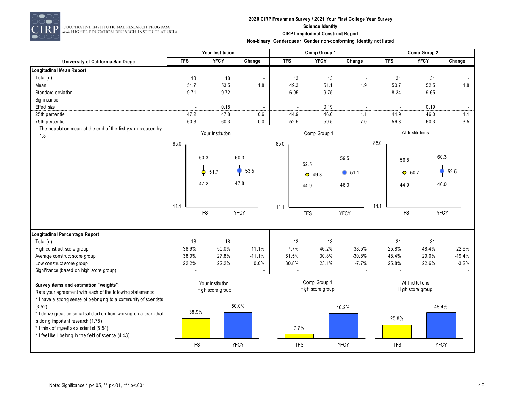

 $\begin{array}{c} \textbf{COOPERATIVE INSTITUTIONAL RESLARCH PROGRAM} \\ \textit{at the HIGHER EDUCATION RESLARCH INSTITUTE AT UCLA} \end{array}$ 

## **2020 CIRP Freshman Survey / 2021 Your First College Year Survey Science Identity CIRP Longitudinal Construct Report**

|                                                                    |            | Your Institution |                          |            | Comp Group 1     |                          | Comp Group 2     |                  |             |  |
|--------------------------------------------------------------------|------------|------------------|--------------------------|------------|------------------|--------------------------|------------------|------------------|-------------|--|
| University of California-San Diego                                 | <b>TFS</b> | <b>YFCY</b>      | Change                   | <b>TFS</b> | <b>YFCY</b>      | Change                   | <b>TFS</b>       | <b>YFCY</b>      | Change      |  |
| <b>Longitudinal Mean Report</b>                                    |            |                  |                          |            |                  |                          |                  |                  |             |  |
| Total (n)                                                          | 18         | 18               | $\blacksquare$           | 13         | 13               | $\overline{\phantom{a}}$ | 31               | 31               |             |  |
| Mean                                                               | 51.7       | 53.5             | 1.8                      | 49.3       | 51.1             | 1.9                      | 50.7             | 52.5             | 1.8         |  |
| Standard deviation                                                 | 9.71       | 9.72             | $\sim$                   | 6.05       | 9.75             |                          | 8.34             | 9.65             |             |  |
| Significance                                                       |            |                  |                          |            |                  |                          |                  |                  | $\sim$      |  |
| Effect size                                                        |            | 0.18             |                          |            | 0.19             |                          |                  | 0.19             |             |  |
| 25th percentile                                                    | 47.2       | 47.8             | 0.6                      | 44.9       | 46.0             | 1.1                      | 44.9             | 46.0             | 1.1         |  |
| 75th percentile                                                    | 60.3       | 60.3             | $0.0\,$                  | 52.5       | 59.5             | $7.0\,$                  | 56.8             | 60.3             | 3.5         |  |
| The population mean at the end of the first year increased by      |            | Your Institution |                          |            | Comp Group 1     |                          |                  | All Institutions |             |  |
| 1.8                                                                |            |                  |                          |            |                  |                          |                  |                  |             |  |
|                                                                    | 85.0       |                  |                          | 85.0       |                  |                          | 85.0             |                  |             |  |
|                                                                    |            |                  |                          |            |                  |                          |                  |                  | 60.3        |  |
|                                                                    |            | 60.3             | 60.3                     |            | 52.5             | 59.5                     | 56.8             |                  |             |  |
|                                                                    |            |                  | 53.5                     |            |                  |                          |                  |                  | 52.5        |  |
|                                                                    |            | $\phi$<br>51.7   |                          |            | $O$ 49.3         | $\bullet$ 51.1           | $\blacklozenge$  | 50.7             |             |  |
|                                                                    |            | 47.2             | 47.8                     |            | 44.9             | 46.0                     | 44.9             |                  | 46.0        |  |
|                                                                    |            |                  |                          |            |                  |                          |                  |                  |             |  |
|                                                                    |            |                  |                          |            |                  |                          |                  |                  |             |  |
|                                                                    | 11.1       |                  |                          | 11.1       |                  |                          | 11.1             |                  |             |  |
|                                                                    |            | <b>TFS</b>       | <b>YFCY</b>              |            | <b>TFS</b>       | <b>YFCY</b>              | <b>TFS</b>       |                  | <b>YFCY</b> |  |
|                                                                    |            |                  |                          |            |                  |                          |                  |                  |             |  |
|                                                                    |            |                  |                          |            |                  |                          |                  |                  |             |  |
| Longitudinal Percentage Report<br>Total (n)                        | 18         | 18               | $\overline{\phantom{a}}$ | 13         | 13               |                          | 31               | 31               |             |  |
| High construct score group                                         | 38.9%      | 50.0%            | 11.1%                    | 7.7%       | 46.2%            | 38.5%                    | 25.8%            | 48.4%            | 22.6%       |  |
| Average construct score group                                      | 38.9%      | 27.8%            | $-11.1%$                 | 61.5%      | 30.8%            | $-30.8%$                 | 48.4%            | 29.0%            | $-19.4%$    |  |
| Low construct score group                                          | 22.2%      | 22.2%            | $0.0\%$                  | 30.8%      | 23.1%            | $-7.7%$                  | 25.8%            | 22.6%            | $-3.2%$     |  |
| Significance (based on high score group)                           |            |                  |                          |            |                  |                          |                  |                  |             |  |
|                                                                    |            |                  |                          |            |                  |                          |                  |                  |             |  |
| Survey items and estimation "weights":                             |            | Your Institution |                          |            | Comp Group 1     |                          | All Institutions |                  |             |  |
| Rate your agreement with each of the following statements:         |            | High score group |                          |            | High score group |                          | High score group |                  |             |  |
| * I have a strong sense of belonging to a community of scientists  |            |                  |                          |            |                  |                          |                  |                  |             |  |
| (3.52)                                                             |            |                  | 50.0%                    |            |                  | 46.2%                    |                  | 48.4%            |             |  |
| * I derive great personal satisfaction from working on a team that | 38.9%      |                  |                          |            |                  |                          |                  |                  |             |  |
| is doing important research (1.78)                                 |            |                  |                          |            |                  |                          | 25.8%            |                  |             |  |
| * I think of myself as a scientist (5.54)                          |            |                  |                          | 7.7%       |                  |                          |                  |                  |             |  |
| * I feel like I belong in the field of science (4.43)              |            |                  |                          |            |                  |                          |                  |                  |             |  |
|                                                                    |            |                  |                          |            |                  |                          |                  |                  |             |  |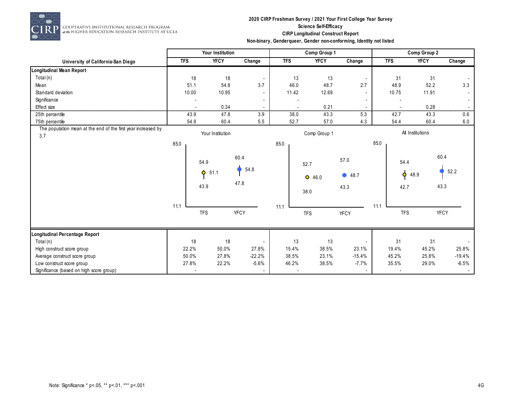

## **2020 CIRP Freshman Survey / 2021 Your First College Year Survey Science Self-Efficacy CIRP Longitudinal Construct Report**

| Non-binary, Genderqueer, Gender non-conforming, Identity not listed |  |  |
|---------------------------------------------------------------------|--|--|
|---------------------------------------------------------------------|--|--|

|                                                                      |            | Your Institution  |                          |                          | Comp Group 1 |                | Comp Group 2 |                   |             |  |
|----------------------------------------------------------------------|------------|-------------------|--------------------------|--------------------------|--------------|----------------|--------------|-------------------|-------------|--|
| University of California-San Diego                                   | <b>TFS</b> | <b>YFCY</b>       | Change                   | <b>TFS</b>               | <b>YFCY</b>  | Change         | <b>TFS</b>   | <b>YFCY</b>       | Change      |  |
| Longitudinal Mean Report                                             |            |                   |                          |                          |              |                |              |                   |             |  |
| Total (n)                                                            | 18         | 18                |                          | 13                       | 13           |                |              | 31<br>31          |             |  |
| Mean                                                                 | 51.1       | 54.8              | 3.7                      | 46.0                     | 48.7         | 2.7            |              | 48.9<br>52.2      | 3.3         |  |
| Standard deviation                                                   | 10.00      | 10.95             |                          | 11.42                    | 12.69        |                | 10.75        | 11.91             |             |  |
| Significance                                                         |            |                   |                          |                          |              |                |              |                   | $\sim$      |  |
| Effect size                                                          |            | 0.34              |                          |                          | 0.21         |                |              | 0.28              |             |  |
| 25th percentile                                                      | 43.9       | 47.8              | 3.9                      | 38.0                     | 43.3         | 5.3            | 42.7         | 43.3              | 0.6         |  |
| 75th percentile                                                      | 54.9       | 60.4              | 5.5                      | 52.7                     | 57.0         | 4.3            | 54.4         | 60.4              | 6.0         |  |
| The population mean at the end of the first year increased by<br>3.7 |            | Your Institution  |                          |                          | Comp Group 1 |                |              | All Institutions  |             |  |
|                                                                      | 85.0       |                   |                          | 85.0                     |              |                | 85.0         |                   |             |  |
|                                                                      |            | 54.9              | 60.4<br>54.8             |                          | 52.7         | 57.0           |              | 54.4              | 60.4        |  |
|                                                                      |            | $\bullet$<br>51.1 |                          |                          | $O$ 46.0     | <b>48.7</b>    |              | $\bullet$<br>48.9 | 52.2        |  |
|                                                                      |            | 43.9              | 47.8                     |                          | 38.0         | 43.3           |              | 42.7              | 43.3        |  |
|                                                                      | 11.1       |                   |                          | 11.1                     |              |                | 11.1         |                   |             |  |
|                                                                      |            | <b>TFS</b>        | <b>YFCY</b>              |                          | <b>TFS</b>   | <b>YFCY</b>    |              | <b>TFS</b>        | <b>YFCY</b> |  |
| Longitudinal Percentage Report                                       |            |                   |                          |                          |              |                |              |                   |             |  |
| Total (n)                                                            | 18         | 18                |                          | 13                       | 13           |                |              | 31<br>31          |             |  |
| High construct score group                                           | 22.2%      | 50.0%             | 27.8%                    | 15.4%                    | 38.5%        | 23.1%          | 19.4%        | 45.2%             | 25.8%       |  |
| Average construct score group                                        | 50.0%      | 27.8%             | $-22.2%$                 | 38.5%                    | 23.1%        | $-15.4%$       | 45.2%        | 25.8%             | $-19.4%$    |  |
| Low construct score group                                            | 27.8%      | 22.2%             | $-5.6%$                  | 46.2%                    | 38.5%        | $-7.7%$        | 35.5%        | 29.0%             | $-6.5%$     |  |
| Significance (based on high score group)                             |            |                   | $\overline{\phantom{a}}$ | $\overline{\phantom{a}}$ |              | $\blacksquare$ |              |                   | $\sim$      |  |